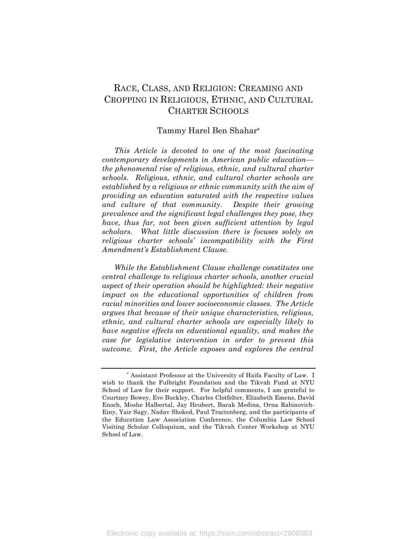# RACE, CLASS, AND RELIGION: CREAMING AND CROPPING IN RELIGIOUS, ETHNIC, AND CULTURAL CHARTER SCHOOLS

#### Tammy Harel Ben Shahar**\***

*This Article is devoted to one of the most fascinating contemporary developments in American public education the phenomenal rise of religious, ethnic, and cultural charter schools. Religious, ethnic, and cultural charter schools are established by a religious or ethnic community with the aim of providing an education saturated with the respective values and culture of that community. Despite their growing prevalence and the significant legal challenges they pose, they have, thus far, not been given sufficient attention by legal scholars. What little discussion there is focuses solely on religious charter schools' incompatibility with the First Amendment's Establishment Clause.* 

*While the Establishment Clause challenge constitutes one central challenge to religious charter schools, another crucial aspect of their operation should be highlighted: their negative impact on the educational opportunities of children from racial minorities and lower socioeconomic classes. The Article argues that because of their unique characteristics, religious, ethnic, and cultural charter schools are especially likely to have negative effects on educational equality, and makes the case for legislative intervention in order to prevent this outcome. First, the Article exposes and explores the central* 

<sup>\*</sup> Assistant Professor at the University of Haifa Faculty of Law. I wish to thank the Fulbright Foundation and the Tikvah Fund at NYU School of Law for their support. For helpful comments, I am grateful to Courtney Bowey, Eve Buckley, Charles Clotfelter, Elizabeth Emens, David Enoch, Moshe Halbertal, Jay Heubert, Barak Medina, Orna Rabinovich-Einy, Yair Sagy, Nadav Shoked, Paul Tractenberg, and the participants of the Education Law Association Conference, the Columbia Law School Visiting Scholar Colloquium, and the Tikvah Center Workshop at NYU School of Law.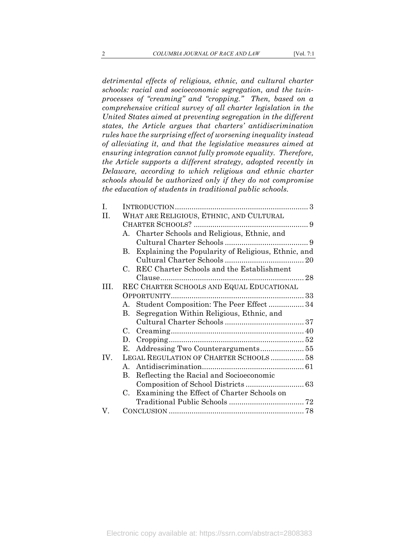*detrimental effects of religious, ethnic, and cultural charter schools: racial and socioeconomic segregation, and the twinprocesses of "creaming" and "cropping." Then, based on a comprehensive critical survey of all charter legislation in the United States aimed at preventing segregation in the different states, the Article argues that charters' antidiscrimination rules have the surprising effect of worsening inequality instead of alleviating it, and that the legislative measures aimed at ensuring integration cannot fully promote equality. Therefore, the Article supports a different strategy, adopted recently in Delaware, according to which religious and ethnic charter schools should be authorized only if they do not compromise the education of students in traditional public schools.* 

| WHAT ARE RELIGIOUS, ETHNIC, AND CULTURAL                    |                                                                                                                                                |
|-------------------------------------------------------------|------------------------------------------------------------------------------------------------------------------------------------------------|
|                                                             |                                                                                                                                                |
| A. Charter Schools and Religious, Ethnic, and               |                                                                                                                                                |
|                                                             |                                                                                                                                                |
| $\mathbf{B}$ .                                              |                                                                                                                                                |
|                                                             |                                                                                                                                                |
| $C_{\cdot}$                                                 |                                                                                                                                                |
|                                                             |                                                                                                                                                |
| REC CHARTER SCHOOLS AND EQUAL EDUCATIONAL                   |                                                                                                                                                |
|                                                             |                                                                                                                                                |
|                                                             |                                                                                                                                                |
| Segregation Within Religious, Ethnic, and<br>$\mathbf{B}$ . |                                                                                                                                                |
|                                                             |                                                                                                                                                |
| C.                                                          |                                                                                                                                                |
| D.                                                          |                                                                                                                                                |
| Е.                                                          |                                                                                                                                                |
| LEGAL REGULATION OF CHARTER SCHOOLS  58                     |                                                                                                                                                |
|                                                             |                                                                                                                                                |
| Reflecting the Racial and Socioeconomic<br>В.               |                                                                                                                                                |
|                                                             |                                                                                                                                                |
| Examining the Effect of Charter Schools on<br>$C_{\cdot}$   |                                                                                                                                                |
|                                                             |                                                                                                                                                |
|                                                             |                                                                                                                                                |
|                                                             | Explaining the Popularity of Religious, Ethnic, and<br>REC Charter Schools and the Establishment<br>A. Student Composition: The Peer Effect 34 |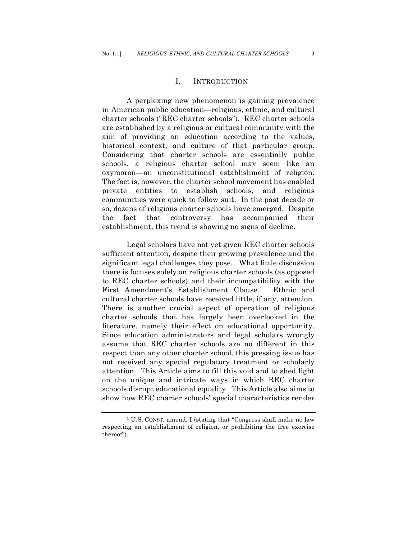#### I. INTRODUCTION

A perplexing new phenomenon is gaining prevalence in American public education*—*religious, ethnic, and cultural charter schools ("REC charter schools"). REC charter schools are established by a religious or cultural community with the aim of providing an education according to the values, historical context, and culture of that particular group. Considering that charter schools are essentially public schools, a religious charter school may seem like an oxymoron—an unconstitutional establishment of religion. The fact is, however, the charter school movement has enabled private entities to establish schools, and religious communities were quick to follow suit. In the past decade or so, dozens of religious charter schools have emerged. Despite the fact that controversy has accompanied their establishment, this trend is showing no signs of decline.

Legal scholars have not yet given REC charter schools sufficient attention, despite their growing prevalence and the significant legal challenges they pose. What little discussion there is focuses solely on religious charter schools (as opposed to REC charter schools) and their incompatibility with the First Amendment's Establishment Clause.<sup>1</sup> Ethnic and cultural charter schools have received little, if any, attention. There is another crucial aspect of operation of religious charter schools that has largely been overlooked in the literature, namely their effect on educational opportunity. Since education administrators and legal scholars wrongly assume that REC charter schools are no different in this respect than any other charter school, this pressing issue has not received any special regulatory treatment or scholarly attention. This Article aims to fill this void and to shed light on the unique and intricate ways in which REC charter schools disrupt educational equality. This Article also aims to show how REC charter schools' special characteristics render

<sup>1</sup> U.S. CONST. amend. I (stating that "Congress shall make no law respecting an establishment of religion, or prohibiting the free exercise thereof").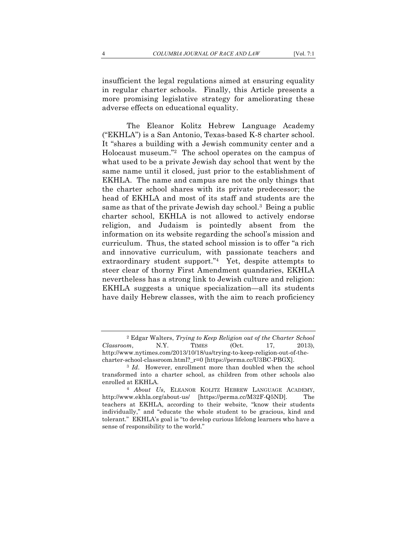insufficient the legal regulations aimed at ensuring equality in regular charter schools. Finally, this Article presents a more promising legislative strategy for ameliorating these adverse effects on educational equality.

The Eleanor Kolitz Hebrew Language Academy ("EKHLA") is a San Antonio, Texas-based K-8 charter school. It "shares a building with a Jewish community center and a Holocaust museum."2 The school operates on the campus of what used to be a private Jewish day school that went by the same name until it closed, just prior to the establishment of EKHLA. The name and campus are not the only things that the charter school shares with its private predecessor; the head of EKHLA and most of its staff and students are the same as that of the private Jewish day school.3 Being a public charter school, EKHLA is not allowed to actively endorse religion, and Judaism is pointedly absent from the information on its website regarding the school's mission and curriculum. Thus, the stated school mission is to offer "a rich and innovative curriculum, with passionate teachers and extraordinary student support."<sup>4</sup> Yet, despite attempts to steer clear of thorny First Amendment quandaries, EKHLA nevertheless has a strong link to Jewish culture and religion: EKHLA suggests a unique specialization—all its students have daily Hebrew classes, with the aim to reach proficiency

<sup>2</sup> Edgar Walters, *Trying to Keep Religion out of the Charter School Classroom*, N.Y. TIMES (Oct. 17, 2013), http://www.nytimes.com/2013/10/18/us/trying-to-keep-religion-out-of-the-

charter-school-classroom.html?\_r=0 [https://perma.cc/U3BC-PBGX]. 3 *Id*. However, enrollment more than doubled when the school transformed into a charter school, as children from other schools also enrolled at EKHLA*.* 

<sup>4</sup> *About Us*, ELEANOR KOLITZ HEBREW LANGUAGE ACADEMY, http://www.ekhla.org/about-us/ [https://perma.cc/M32F-Q5ND]. The teachers at EKHLA, according to their website, "know their students individually," and "educate the whole student to be gracious, kind and tolerant." EKHLA's goal is "to develop curious lifelong learners who have a sense of responsibility to the world."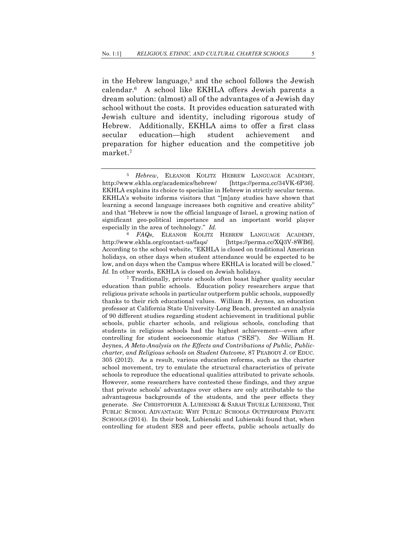in the Hebrew language,5 and the school follows the Jewish calendar.6 A school like EKHLA offers Jewish parents a dream solution: (almost) all of the advantages of a Jewish day school without the costs. It provides education saturated with Jewish culture and identity, including rigorous study of Hebrew. Additionally, EKHLA aims to offer a first class secular education—high student achievement and preparation for higher education and the competitive job market.7

<sup>6</sup> *FAQs*, ELEANOR KOLITZ HEBREW LANGUAGE ACADEMY, http://www.ekhla.org/contact-us/faqs/ [https://perma.cc/XQ3V-8WB6]. According to the school website, "EKHLA is closed on traditional American holidays, on other days when student attendance would be expected to be low, and on days when the Campus where EKHLA is located will be closed." *Id.* In other words, EKHLA is closed on Jewish holidays.<br><sup>7</sup> Traditionally, private schools often boast higher quality secular

education than public schools. Education policy researchers argue that religious private schools in particular outperform public schools, supposedly thanks to their rich educational values. William H. Jeynes, an education professor at California State University-Long Beach, presented an analysis of 90 different studies regarding student achievement in traditional public schools, public charter schools, and religious schools, concluding that students in religious schools had the highest achievement—even after controlling for student socioeconomic status ("SES"). *See* William H. Jeynes, *A Meta-Analysis on the Effects and Contributions of Public, Publiccharter, and Religious schools on Student Outcome*, 87 PEABODY J. OF EDUC. 305 (2012). As a result, various education reforms, such as the charter school movement, try to emulate the structural characteristics of private schools to reproduce the educational qualities attributed to private schools. However, some researchers have contested these findings, and they argue that private schools' advantages over others are only attributable to the advantageous backgrounds of the students, and the peer effects they generate. *See* CHRISTOPHER A. LUBIENSKI & SARAH THUELE LUBIENSKI, THE PUBLIC SCHOOL ADVANTAGE: WHY PUBLIC SCHOOLS OUTPERFORM PRIVATE SCHOOLS (2014). In their book, Lubienski and Lubienski found that, when controlling for student SES and peer effects, public schools actually do

<sup>5</sup> *Hebrew*, ELEANOR KOLITZ HEBREW LANGUAGE ACADEMY, http://www.ekhla.org/academics/hebrew/ [https://perma.cc/34VK-6P36]. EKHLA explains its choice to specialize in Hebrew in strictly secular terms. EKHLA's website informs visitors that "[m]any studies have shown that learning a second language increases both cognitive and creative ability" and that "Hebrew is now the official language of Israel, a growing nation of significant geo-political importance and an important world player especially in the area of technology." *Id.*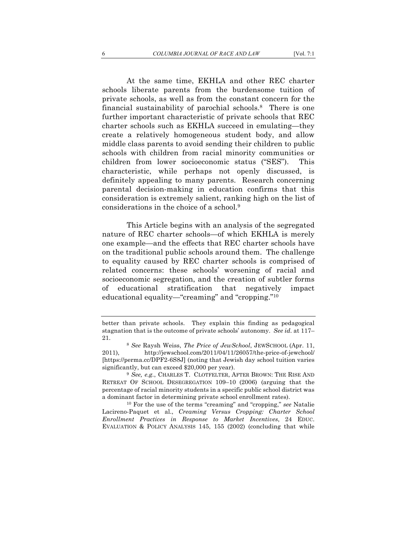At the same time, EKHLA and other REC charter schools liberate parents from the burdensome tuition of private schools, as well as from the constant concern for the financial sustainability of parochial schools.8 There is one further important characteristic of private schools that REC charter schools such as EKHLA succeed in emulating—they create a relatively homogeneous student body, and allow middle class parents to avoid sending their children to public schools with children from racial minority communities or children from lower socioeconomic status ("SES"). This characteristic, while perhaps not openly discussed, is definitely appealing to many parents. Research concerning parental decision-making in education confirms that this consideration is extremely salient, ranking high on the list of considerations in the choice of a school.9

This Article begins with an analysis of the segregated nature of REC charter schools—of which EKHLA is merely one example—and the effects that REC charter schools have on the traditional public schools around them. The challenge to equality caused by REC charter schools is comprised of related concerns: these schools' worsening of racial and socioeconomic segregation, and the creation of subtler forms of educational stratification that negatively impact educational equality—"creaming" and "cropping."10

better than private schools. They explain this finding as pedagogical stagnation that is the outcome of private schools' autonomy. *See id.* at 117– 21. 8 *See* Raysh Weiss, *The Price of JewSchool*, JEWSCHOOL (Apr. 11,

<sup>2011),</sup> http://jewschool.com/2011/04/11/26057/the-price-of-jewchool/ [https://perma.cc/DPF2-6S8J] (noting that Jewish day school tuition varies significantly, but can exceed \$20,000 per year). 9 *See, e.g.*, CHARLES T. CLOTFELTER, AFTER BROWN: THE RISE AND

RETREAT OF SCHOOL DESEGREGATION 109–10 (2006) (arguing that the percentage of racial minority students in a specific public school district was a dominant factor in determining private school enrollment rates). 10 For the use of the terms "creaming" and "cropping," *see* Natalie

Lacireno-Paquet et al., *Creaming Versus Cropping: Charter School Enrollment Practices in Response to Market Incentives*, 24 EDUC. EVALUATION & POLICY ANALYSIS 145, 155 (2002) (concluding that while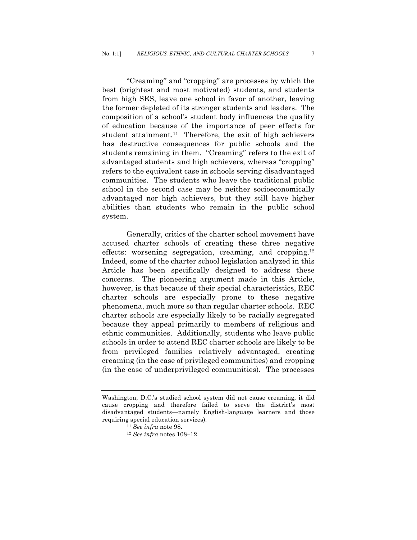"Creaming" and "cropping" are processes by which the best (brightest and most motivated) students, and students from high SES, leave one school in favor of another, leaving the former depleted of its stronger students and leaders. The composition of a school's student body influences the quality of education because of the importance of peer effects for student attainment.<sup>11</sup> Therefore, the exit of high achievers has destructive consequences for public schools and the students remaining in them. "Creaming" refers to the exit of advantaged students and high achievers, whereas "cropping" refers to the equivalent case in schools serving disadvantaged communities. The students who leave the traditional public school in the second case may be neither socioeconomically advantaged nor high achievers, but they still have higher abilities than students who remain in the public school system.

Generally, critics of the charter school movement have accused charter schools of creating these three negative effects: worsening segregation, creaming, and cropping.12 Indeed, some of the charter school legislation analyzed in this Article has been specifically designed to address these concerns. The pioneering argument made in this Article, however, is that because of their special characteristics, REC charter schools are especially prone to these negative phenomena, much more so than regular charter schools. REC charter schools are especially likely to be racially segregated because they appeal primarily to members of religious and ethnic communities. Additionally, students who leave public schools in order to attend REC charter schools are likely to be from privileged families relatively advantaged, creating creaming (in the case of privileged communities) and cropping (in the case of underprivileged communities). The processes

Washington, D.C.'s studied school system did not cause creaming, it did cause cropping and therefore failed to serve the district's most disadvantaged students—namely English-language learners and those requiring special education services).

<sup>11</sup> *See infra* note 98.

<sup>12</sup> *See infra* notes 108–12.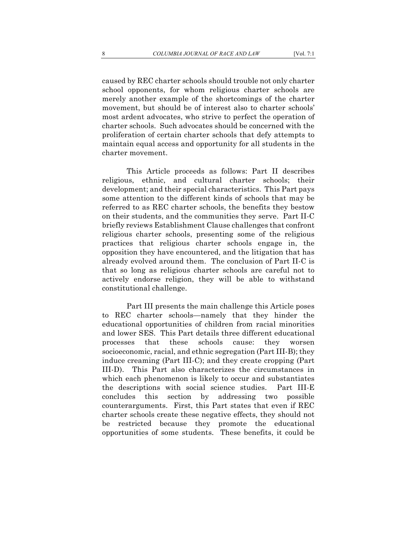caused by REC charter schools should trouble not only charter school opponents, for whom religious charter schools are merely another example of the shortcomings of the charter movement, but should be of interest also to charter schools' most ardent advocates, who strive to perfect the operation of charter schools. Such advocates should be concerned with the proliferation of certain charter schools that defy attempts to maintain equal access and opportunity for all students in the charter movement.

This Article proceeds as follows: Part II describes religious, ethnic, and cultural charter schools; their development; and their special characteristics. This Part pays some attention to the different kinds of schools that may be referred to as REC charter schools, the benefits they bestow on their students, and the communities they serve. Part II-C briefly reviews Establishment Clause challenges that confront religious charter schools, presenting some of the religious practices that religious charter schools engage in, the opposition they have encountered, and the litigation that has already evolved around them. The conclusion of Part II-C is that so long as religious charter schools are careful not to actively endorse religion, they will be able to withstand constitutional challenge.

Part III presents the main challenge this Article poses to REC charter schools—namely that they hinder the educational opportunities of children from racial minorities and lower SES. This Part details three different educational processes that these schools cause: they worsen socioeconomic, racial, and ethnic segregation (Part III-B); they induce creaming (Part III-C); and they create cropping (Part III-D). This Part also characterizes the circumstances in which each phenomenon is likely to occur and substantiates the descriptions with social science studies. Part III-E concludes this section by addressing two possible counterarguments. First, this Part states that even if REC charter schools create these negative effects, they should not be restricted because they promote the educational opportunities of some students. These benefits, it could be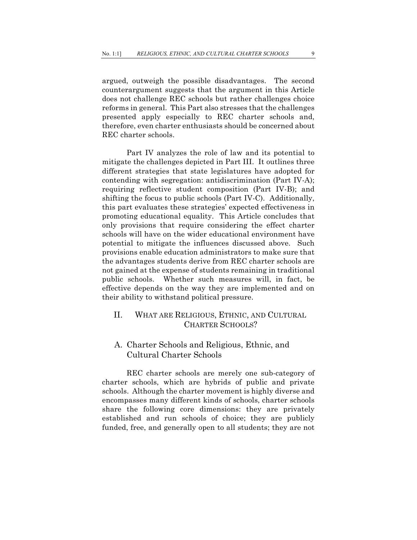argued, outweigh the possible disadvantages. The second counterargument suggests that the argument in this Article does not challenge REC schools but rather challenges choice reforms in general. This Part also stresses that the challenges presented apply especially to REC charter schools and, therefore, even charter enthusiasts should be concerned about REC charter schools.

Part IV analyzes the role of law and its potential to mitigate the challenges depicted in Part III. It outlines three different strategies that state legislatures have adopted for contending with segregation: antidiscrimination (Part IV-A); requiring reflective student composition (Part IV-B); and shifting the focus to public schools (Part IV-C). Additionally, this part evaluates these strategies' expected effectiveness in promoting educational equality. This Article concludes that only provisions that require considering the effect charter schools will have on the wider educational environment have potential to mitigate the influences discussed above. Such provisions enable education administrators to make sure that the advantages students derive from REC charter schools are not gained at the expense of students remaining in traditional public schools. Whether such measures will, in fact, be effective depends on the way they are implemented and on their ability to withstand political pressure.

## II. WHAT ARE RELIGIOUS, ETHNIC, AND CULTURAL CHARTER SCHOOLS?

#### A. Charter Schools and Religious, Ethnic, and Cultural Charter Schools

REC charter schools are merely one sub-category of charter schools, which are hybrids of public and private schools. Although the charter movement is highly diverse and encompasses many different kinds of schools, charter schools share the following core dimensions: they are privately established and run schools of choice; they are publicly funded, free, and generally open to all students; they are not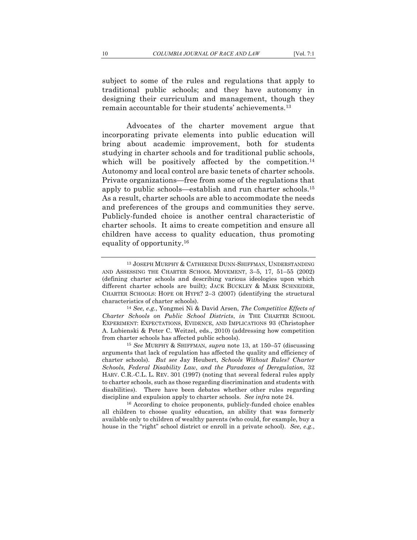subject to some of the rules and regulations that apply to traditional public schools; and they have autonomy in designing their curriculum and management, though they remain accountable for their students' achievements.13

Advocates of the charter movement argue that incorporating private elements into public education will bring about academic improvement, both for students studying in charter schools and for traditional public schools, which will be positively affected by the competition.<sup>14</sup> Autonomy and local control are basic tenets of charter schools. Private organizations—free from some of the regulations that apply to public schools—establish and run charter schools.15 As a result, charter schools are able to accommodate the needs and preferences of the groups and communities they serve. Publicly-funded choice is another central characteristic of charter schools. It aims to create competition and ensure all children have access to quality education, thus promoting equality of opportunity.16

<sup>13</sup> JOSEPH MURPHY & CATHERINE DUNN-SHIFFMAN, UNDERSTANDING AND ASSESSING THE CHARTER SCHOOL MOVEMENT, 3–5, 17, 51–55 (2002) (defining charter schools and describing various ideologies upon which different charter schools are built); JACK BUCKLEY & MARK SCHNEIDER, CHARTER SCHOOLS: HOPE OR HYPE? 2–3 (2007) (identifying the structural characteristics of charter schools). 14 *See, e.g.*, Yongmei Ni & David Arsen, *The Competitive Effects of* 

*Charter Schools on Public School Districts*, *in* THE CHARTER SCHOOL EXPERIMENT: EXPECTATIONS, EVIDENCE, AND IMPLICATIONS 93 (Christopher A. Lubienski & Peter C. Weitzel, eds., 2010) (addressing how competition from charter schools has affected public schools).

<sup>15</sup> *See* MURPHY & SHIFFMAN, *supra* note 13, at 150–57 (discussing arguments that lack of regulation has affected the quality and efficiency of charter schools). *But see* Jay Heubert, *Schools Without Rules? Charter Schools, Federal Disability Law, and the Paradoxes of Deregulation*, 32 HARV. C.R.-C.L. L. REV. 301 (1997) (noting that several federal rules apply to charter schools, such as those regarding discrimination and students with disabilities). There have been debates whether other rules regarding discipline and expulsion apply to charter schools. *See infra* note 24. <sup>16</sup> According to choice proponents, publicly-funded choice enables

all children to choose quality education, an ability that was formerly available only to children of wealthy parents (who could, for example, buy a house in the "right" school district or enroll in a private school). *See*, *e.g.*,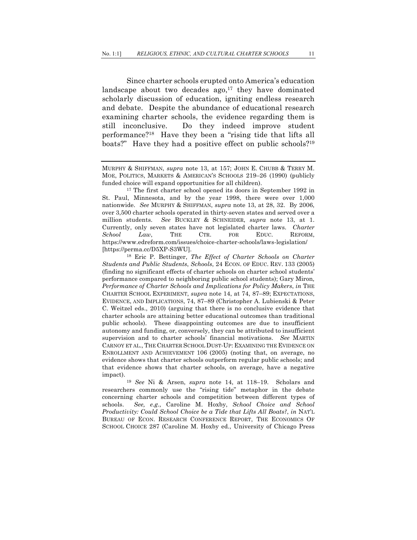Since charter schools erupted onto America's education landscape about two decades  $ago,17$  they have dominated scholarly discussion of education, igniting endless research and debate. Despite the abundance of educational research examining charter schools, the evidence regarding them is still inconclusive. Do they indeed improve student performance?18 Have they been a "rising tide that lifts all boats?" Have they had a positive effect on public schools?<sup>19</sup>

MURPHY & SHIFFMAN, *supra* note 13, at 157; JOHN E. CHUBB & TERRY M. MOE, POLITICS, MARKETS & AMERICAN'S SCHOOLS 219–26 (1990) (publicly funded choice will expand opportunities for all children).

<sup>&</sup>lt;sup>17</sup> The first charter school opened its doors in September 1992 in St. Paul, Minnesota, and by the year 1998, there were over 1,000 nationwide. *See* MURPHY & SHIFFMAN, *supra* note 13, at 28, 32. By 2006, over 3,500 charter schools operated in thirty-seven states and served over a million students. *See* BUCKLEY & SCHNEIDER, *supra* note 13, at 1. Currently, only seven states have not legislated charter laws. *Charter School Law*, THE CTR. FOR EDUC. REFORM, https://www.edreform.com/issues/choice-charter-schools/laws-legislation/ [https://perma.cc/D5XP-S3WU].

<sup>18</sup> Eric P. Bettinger, *The Effect of Charter Schools on Charter Students and Public Students*, *Schools*, 24 ECON. OF EDUC. REV. 133 (2005) (finding no significant effects of charter schools on charter school students' performance compared to neighboring public school students); Gary Miron*, Performance of Charter Schools and Implications for Policy Makers*, *in* THE CHARTER SCHOOL EXPERIMENT, *supra* note 14, at 74, 87–89; EXPECTATIONS, EVIDENCE, AND IMPLICATIONS, 74, 87–89 (Christopher A. Lubienski & Peter C. Weitzel eds., 2010) (arguing that there is no conclusive evidence that charter schools are attaining better educational outcomes than traditional public schools). These disappointing outcomes are due to insufficient autonomy and funding, or, conversely, they can be attributed to insufficient supervision and to charter schools' financial motivations. *See* MARTIN CARNOY ET AL., THE CHARTER SCHOOL DUST-UP: EXAMINING THE EVIDENCE ON ENROLLMENT AND ACHIEVEMENT 106 (2005) (noting that, on average, no evidence shows that charter schools outperform regular public schools; and that evidence shows that charter schools, on average, have a negative impact).

<sup>19</sup> *See* Ni & Arsen, *supra* note 14, at 118–19. Scholars and researchers commonly use the "rising tide" metaphor in the debate concerning charter schools and competition between different types of schools. *See, e.g*., Caroline M. Hoxby, *School Choice and School Productivity: Could School Choice be a Tide that Lifts All Boats?*, *in* NAT'L BUREAU OF ECON. RESEARCH CONFERENCE REPORT, THE ECONOMICS OF SCHOOL CHOICE 287 (Caroline M. Hoxby ed., University of Chicago Press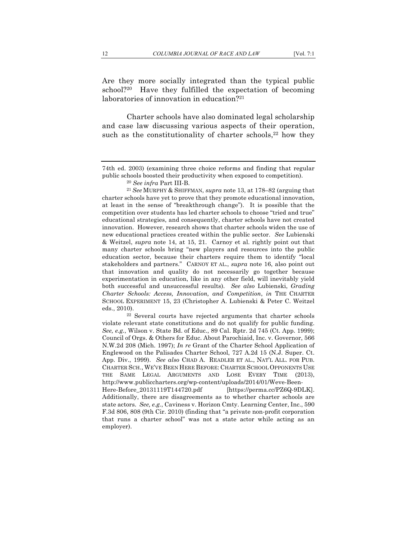Are they more socially integrated than the typical public school?<sup>20</sup> Have they fulfilled the expectation of becoming laboratories of innovation in education?<sup>21</sup>

Charter schools have also dominated legal scholarship and case law discussing various aspects of their operation, such as the constitutionality of charter schools, $22$  how they

<sup>22</sup> Several courts have rejected arguments that charter schools violate relevant state constitutions and do not qualify for public funding. *See, e.g.*, Wilson v. State Bd. of Educ., 89 Cal. Rptr. 2d 745 (Ct. App. 1999); Council of Orgs. & Others for Educ. About Parochiaid, Inc. v. Governor, 566 N.W.2d 208 (Mich. 1997); *In re* Grant of the Charter School Application of Englewood on the Palisades Charter School, 727 A.2d 15 (N.J. Super. Ct. App. Div., 1999). *See also* CHAD A. READLER ET AL., NAT'L ALL. FOR PUB. CHARTER SCH., WE'VE BEEN HERE BEFORE: CHARTER SCHOOL OPPONENTS USE THE SAME LEGAL ARGUMENTS AND LOSE EVERY TIME (2013), http://www.publiccharters.org/wp-content/uploads/2014/01/Weve-Been-Here-Before\_20131119T144720.pdf [https://perma.cc/PZ6Q-9DLK]. Additionally, there are disagreements as to whether charter schools are state actors. *See, e.g.*, Caviness v. Horizon Cmty. Learning Center, Inc., 590 F.3d 806, 808 (9th Cir. 2010) (finding that "a private non-profit corporation that runs a charter school" was not a state actor while acting as an employer).

<sup>74</sup>th ed. 2003) (examining three choice reforms and finding that regular public schools boosted their productivity when exposed to competition). 20 *See infra* Part III-B.

<sup>21</sup> *See* MURPHY & SHIFFMAN, *supra* note 13, at 178–82 (arguing that charter schools have yet to prove that they promote educational innovation, at least in the sense of "breakthrough change"). It is possible that the competition over students has led charter schools to choose "tried and true" educational strategies, and consequently, charter schools have not created innovation. However, research shows that charter schools widen the use of new educational practices created within the public sector. *See* Lubienski & Weitzel, *supra* note 14, at 15, 21. Carnoy et al. rightly point out that many charter schools bring "new players and resources into the public education sector, because their charters require them to identify "local stakeholders and partners." CARNOY ET AL., *supra* note 16, also point out that innovation and quality do not necessarily go together because experimentation in education, like in any other field, will inevitably yield both successful and unsuccessful results). *See also* Lubienski, *Grading Charter Schools: Access, Innovation, and Competition*, *in* THE CHARTER SCHOOL EXPERIMENT 15, 23 (Christopher A. Lubienski & Peter C. Weitzel eds., 2010).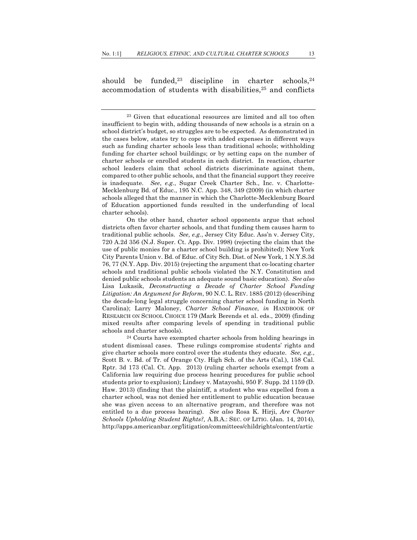should be funded,<sup>23</sup> discipline in charter schools,<sup>24</sup> accommodation of students with disabilities, $25$  and conflicts

On the other hand, charter school opponents argue that school districts often favor charter schools, and that funding them causes harm to traditional public schools. *See, e.g.*, Jersey City Educ. Ass'n v. Jersey City, 720 A.2d 356 (N.J. Super. Ct. App. Div. 1998) (rejecting the claim that the use of public monies for a charter school building is prohibited); New York City Parents Union v. Bd. of Educ. of City Sch. Dist. of New York, 1 N.Y.S.3d 76, 77 (N.Y. App. Div. 2015) (rejecting the argument that co-locating charter schools and traditional public schools violated the N.Y. Constitution and denied public schools students an adequate sound basic education). *See also* Lisa Lukasik, *Deconstructing a Decade of Charter School Funding Litigation: An Argument for Reform*, 90 N.C. L. REV. 1885 (2012) (describing the decade-long legal struggle concerning charter school funding in North Carolina); Larry Maloney, *Charter School Finance*, *in* HANDBOOK OF RESEARCH ON SCHOOL CHOICE 179 (Mark Berends et al. eds., 2009) (finding mixed results after comparing levels of spending in traditional public schools and charter schools). <sup>24</sup> Courts have exempted charter schools from holding hearings in

student dismissal cases. These rulings compromise students' rights and give charter schools more control over the students they educate. *See, e.g.*, Scott B. v. Bd. of Tr. of Orange Cty. High Sch. of the Arts (Cal.), 158 Cal. Rptr. 3d 173 (Cal. Ct. App. 2013) (ruling charter schools exempt from a California law requiring due process hearing procedures for public school students prior to explusion); Lindsey v. Matayoshi, 950 F. Supp. 2d 1159 (D. Haw. 2013) (finding that the plaintiff, a student who was expelled from a charter school, was not denied her entitlement to public education because she was given access to an alternative program, and therefore was not entitled to a due process hearing). *See also* Rosa K. Hirji, *Are Charter Schools Upholding Student Rights?,* A.B.A.: SEC. OF LITIG. (Jan. 14, 2014), http://apps.americanbar.org/litigation/committees/childrights/content/artic

<sup>23</sup> Given that educational resources are limited and all too often insufficient to begin with, adding thousands of new schools is a strain on a school district's budget, so struggles are to be expected. As demonstrated in the cases below, states try to cope with added expenses in different ways such as funding charter schools less than traditional schools; withholding funding for charter school buildings; or by setting caps on the number of charter schools or enrolled students in each district. In reaction, charter school leaders claim that school districts discriminate against them, compared to other public schools, and that the financial support they receive is inadequate. *See*, *e.g.*, Sugar Creek Charter Sch., Inc. v. Charlotte-Mecklenburg Bd. of Educ., 195 N.C. App. 348, 349 (2009) (in which charter schools alleged that the manner in which the Charlotte-Mecklenburg Board of Education apportioned funds resulted in the underfunding of local charter schools).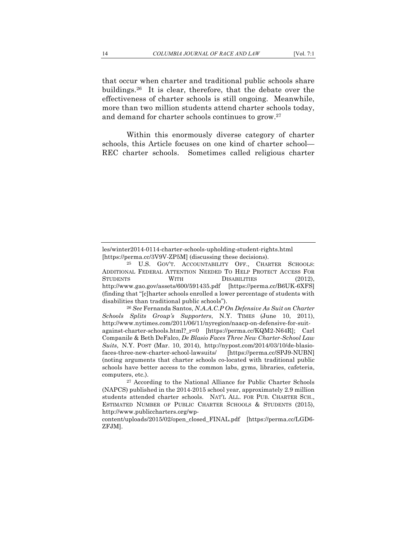that occur when charter and traditional public schools share buildings.26 It is clear, therefore, that the debate over the effectiveness of charter schools is still ongoing. Meanwhile, more than two million students attend charter schools today, and demand for charter schools continues to grow.27

Within this enormously diverse category of charter schools, this Article focuses on one kind of charter school— REC charter schools. Sometimes called religious charter

les/winter2014-0114-charter-schools-upholding-student-rights.html [https://perma.cc/3V9V-ZP5M] (discussing these decisions).

<sup>25</sup> U.S. GOV'T. ACCOUNTABILITY OFF., CHARTER SCHOOLS: ADDITIONAL FEDERAL ATTENTION NEEDED TO HELP PROTECT ACCESS FOR STUDENTS WITH DISABILITIES (2012), http://www.gao.gov/assets/600/591435.pdf [https://perma.cc/B6UK-6XFS] (finding that "[c]harter schools enrolled a lower percentage of students with disabilities than traditional public schools").

<sup>26</sup> *See* Fernanda Santos, *N.A.A.C.P On Defensive As Suit on Charter Schools Splits Group's Supporters*, N.Y. TIMES (June 10, 2011), http://www.nytimes.com/2011/06/11/nyregion/naacp-on-defensive-for-suitagainst-charter-schools.html?\_r=0 [https://perma.cc/KQM2-N64R]; Carl Companile & Beth DeFalco, *De Blasio Faces Three New Charter-School Law Suits*, N.Y. POST (Mar. 10, 2014), http://nypost.com/2014/03/10/de-blasiofaces-three-new-charter-school-lawsuits/ [https://perma.cc/SPJ9-NUBN] (noting arguments that charter schools co-located with traditional public schools have better access to the common labs, gyms, libraries, cafeteria, computers, etc.).

<sup>27</sup> According to the National Alliance for Public Charter Schools (NAPCS) published in the 2014-2015 school year, approximately 2.9 million students attended charter schools. NAT'L ALL. FOR PUB. CHARTER SCH., ESTIMATED NUMBER OF PUBLIC CHARTER SCHOOLS & STUDENTS (2015), http://www.publiccharters.org/wp-

content/uploads/2015/02/open\_closed\_FINAL.pdf [https://perma.cc/LGD6- ZFJM].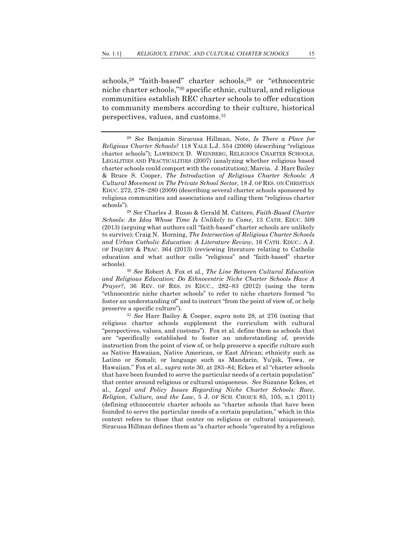schools,28 "faith-based" charter schools,29 or "ethnocentric niche charter schools,"30 specific ethnic, cultural, and religious communities establish REC charter schools to offer education to community members according to their culture, historical perspectives, values, and customs.31

*Schools: An Idea Whose Time Is Unlikely to Come*, 13 CATH. EDUC. 509 (2013) (arguing what authors call "faith-based" charter schools are unlikely to survive); Craig N. Horning, *The Intersection of Religious Charter Schools and Urban Catholic Education: A Literature Review*, 16 CATH. EDUC.: A J. OF INQUIRY & PRAC. 364 (2013) (reviewing literature relating to Catholic education and what author calls "religious" and "faith-based" charter

schools). 30 *See* Robert A. Fox et al., *The Line Between Cultural Education and Religious Education: Do Ethnocentric Niche Charter Schools Have A Prayer?*, 36 REV. OF RES. IN EDUC., 282–83 (2012) (using the term "ethnocentric niche charter schools" to refer to niche charters formed "to foster an understanding of" and to instruct "from the point of view of, or help preserve a specific culture"). 31 *See* Harr Bailey & Cooper, *supra* note 28, at 276 (noting that

religious charter schools supplement the curriculum with cultural "perspectives, values, and customs"). Fox et al*.* define them as schools that are "specifically established to foster an understanding of, provide instruction from the point of view of, or help preserve a specific culture such as Native Hawaiian, Native American, or East African; ethnicity such as Latino or Somali; or language such as Mandarin, Yu'pik, Towa, or Hawaiian." Fox et al., *supra* note 30, at 283–84; Eckes et al "charter schools that have been founded to serve the particular needs of a certain population" that center around religious or cultural uniqueness. *See* Suzanne Eckes, et al., *Legal and Policy Issues Regarding Niche Charter Schools: Race, Religion, Culture, and the Law*, 5 J. OF SCH. CHOICE 85, 105, n.1 (2011) (defining ethnocentric charter schools as "charter schools that have been founded to serve the particular needs of a certain population," which in this context refers to those that center on religious or cultural uniqueness); Siracusa Hillman defines them as "a charter schools "operated by a religious

<sup>28</sup> *See* Benjamin Siracusa Hillman, Note, *Is There a Place for Religious Charter Schools?* 118 YALE L.J. 554 (2008) (describing "religious charter schools"); LAWRENCE D. WEINBERG, RELIGIOUS CHARTER SCHOOLS, LEGALITIES AND PRACTICALITIES (2007) (analyzing whether religious based charter schools could comport with the constitution); Marcia. J. Harr Bailey & Bruce S. Cooper, *The Introduction of Religious Charter Schools: A Cultural Movement in The Private School Sector*, 18 J. OF RES. ON CHRISTIAN EDUC. 272, 278–280 (2009) (describing several charter schools sponsored by religious communities and associations and calling them "religious charter schools").29 *See* Charles J. Russo & Gerald M. Cattero, *Faith-Based Charter*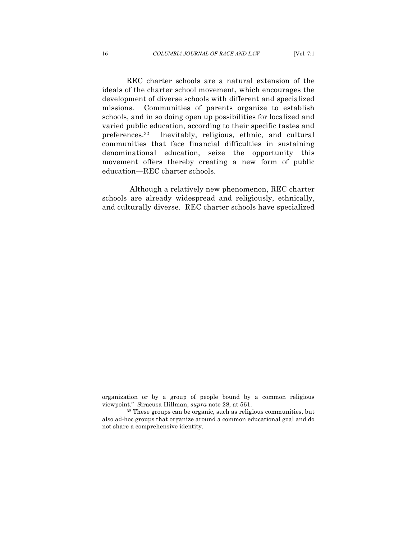REC charter schools are a natural extension of the ideals of the charter school movement, which encourages the development of diverse schools with different and specialized missions. Communities of parents organize to establish schools, and in so doing open up possibilities for localized and varied public education, according to their specific tastes and preferences.32 Inevitably, religious, ethnic, and cultural communities that face financial difficulties in sustaining denominational education, seize the opportunity this movement offers thereby creating a new form of public education—REC charter schools.

Although a relatively new phenomenon, REC charter schools are already widespread and religiously, ethnically, and culturally diverse. REC charter schools have specialized

organization or by a group of people bound by a common religious viewpoint." Siracusa Hillman, *supra* note 28, at 561. 32 These groups can be organic, such as religious communities, but

also ad-hoc groups that organize around a common educational goal and do not share a comprehensive identity.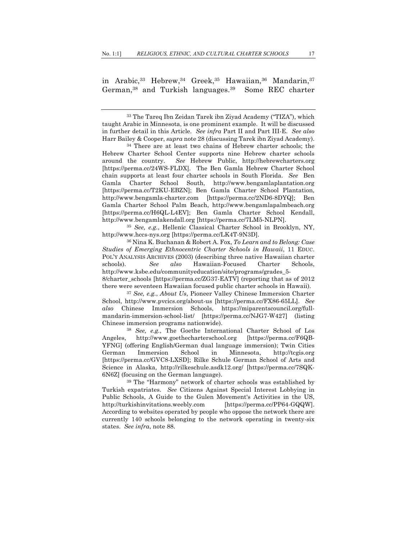in Arabic,<sup>33</sup> Hebrew,<sup>34</sup> Greek,<sup>35</sup> Hawaiian,<sup>36</sup> Mandarin,<sup>37</sup> German,38 and Turkish languages.39 Some REC charter

<sup>35</sup> *See, e.g.*, Hellenic Classical Charter School in Brooklyn, NY, http://www.hccs-nys.org [https://perma.cc/LK4T-9N3D]. 36 Nina K. Buchanan & Robert A. Fox, *To Learn and to Belong: Case* 

*Studies of Emerging Ethnocentric Charter Schools in Hawaii*, 11 EDUC. POL'Y ANALYSIS ARCHIVES (2003) (describing three native Hawaiian charter schools). *See also* Hawaiian-Focused Charter Schools, http://www.ksbe.edu/communityeducation/site/programs/grades\_5- 8/charter schools [https://perma.cc/ZG37-EATV] (reporting that as of 2012 there were seventeen Hawaiian focused public charter schools in Hawaii). 37 *See, e.g.*, *About Us*, Pioneer Valley Chinese Immersion Charter

School, http://www.pvcics.org/about-us [https://perma.cc/FX86-65LL]. *See also* Chinese Immersion Schools, https://miparentscouncil.org/fullmandarin-immersion-school-list/ [https://perma.cc/NJG7-W427] (listing Chinese immersion programs nationwide). 38 *See, e.g.*, The Goethe International Charter School of Los

Angeles, http://www.goethecharterschool.org [https://perma.cc/F6QB-YFNG] (offering English/German dual language immersion); Twin Cities German Immersion School in Minnesota, http://tcgis.org [https://perma.cc/GVC8-LXSD]; Rilke Schule German School of Arts and Science in Alaska, http://rilkeschule.asdk12.org/ [https://perma.cc/7SQK-6N6Z] (focusing on the German language).

<sup>39</sup> The "Harmony" network of charter schools was established by Turkish expatriates. *See* Citizens Against Special Interest Lobbying in Public Schools, A Guide to the Gulen Movement's Activities in the US, http://turkishinvitations.weebly.com [https://perma.cc/PP64-GQQW]. According to websites operated by people who oppose the network there are currently 140 schools belonging to the network operating in twenty-six states. *See infra*, note 88.

<sup>33</sup> The Tareq Ibn Zeidan Tarek ibn Ziyad Academy ("TIZA"), which taught Arabic in Minnesota, is one prominent example. It will be discussed in further detail in this Article. *See infra* Part II and Part III-E. *See also* Harr Bailey & Cooper, *supra* note 28 (discussing Tarek ibn Ziyad Academy).

<sup>34</sup> There are at least two chains of Hebrew charter schools; the Hebrew Charter School Center supports nine Hebrew charter schools around the country. *See* Hebrew Public, http://hebrewcharters.org [https://perma.cc/24WS-FLDX]. The Ben Gamla Hebrew Charter School chain supports at least four charter schools in South Florida. *See* Ben Gamla Charter School South, http://www.bengamlaplantation.org [https://perma.cc/T2KU-EBZN]; Ben Gamla Charter School Plantation, http://www.bengamla-charter.com [https://perma.cc/2ND6-8DYQ]; Ben Gamla Charter School Palm Beach, http://www.bengamlapalmbeach.org [https://perma.cc/H6QL-L4EV]; Ben Gamla Charter School Kendall, http://www.bengamlakendall.org [https://perma.cc/7LM5-NLPN].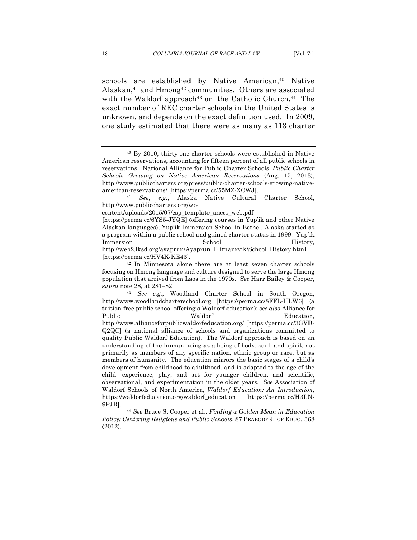schools are established by Native American, <sup>40</sup> Native Alaskan, $41$  and Hmong $42$  communities. Others are associated with the Waldorf approach<sup>43</sup> or the Catholic Church.<sup>44</sup> The exact number of REC charter schools in the United States is unknown, and depends on the exact definition used. In 2009, one study estimated that there were as many as 113 charter

american-reservations/ [https://perma.cc/55MZ-XCWJ]. 41 *See, e.g.*, Alaska Native Cultural Charter School, http://www.publiccharters.org/wp-

content/uploads/2015/07/csp\_template\_anccs\_web.pdf

[https://perma.cc/6YS5-JYQE] (offering courses in Yup'ik and other Native Alaskan languages); Yup'ik Immersion School in Bethel, Alaska started as a program within a public school and gained charter status in 1999. Yup'ik Immersion School History, http://web2.lksd.org/ayaprun/Ayaprun\_Elitnaurvik/School\_History.html [https://perma.cc/HV4K-KE43].

<sup>44</sup> *See* Bruce S. Cooper et al., *Finding a Golden Mean in Education Policy: Centering Religious and Public Schools*, 87 PEABODY J. OF EDUC. 368 (2012).

<sup>40</sup> By 2010, thirty-one charter schools were established in Native American reservations, accounting for fifteen percent of all public schools in reservations. National Alliance for Public Charter Schools, *Public Charter Schools Growing on Native American Reservations* (Aug. 15, 2013), http://www.publiccharters.org/press/public-charter-schools-growing-native-

<sup>42</sup> In Minnesota alone there are at least seven charter schools focusing on Hmong language and culture designed to serve the large Hmong population that arrived from Laos in the 1970s. *See* Harr Bailey & Cooper,

*supra* note 28, at 281–82. 43 *See e.g.*, Woodland Charter School in South Oregon, http://www.woodlandcharterschool.org [https://perma.cc/8FFL-HLW6] (a tuition-free public school offering a Waldorf education); *see also* Alliance for Public Waldorf Education, http://www.allianceforpublicwaldorfeducation.org/ [https://perma.cc/3GVD-Q2QC] (a national alliance of schools and organizations committed to quality Public Waldorf Education). The Waldorf approach is based on an understanding of the human being as a being of body, soul, and spirit, not primarily as members of any specific nation, ethnic group or race, but as members of humanity. The education mirrors the basic stages of a child's development from childhood to adulthood, and is adapted to the age of the child—experience, play, and art for younger children, and scientific, observational, and experimentation in the older years. *See* Association of Waldorf Schools of North America, *Waldorf Education: An Introduction*, https://waldorfeducation.org/waldorf\_education [https://perma.cc/H3LN-9PJB].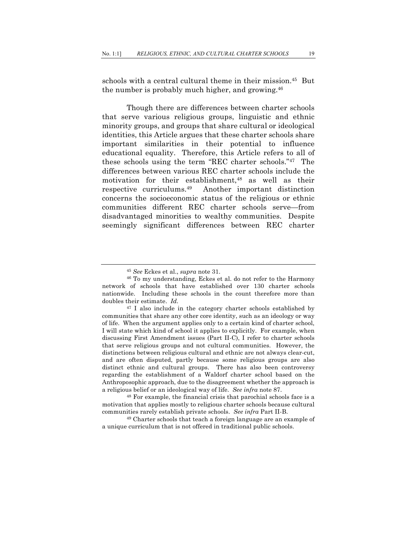schools with a central cultural theme in their mission.45 But the number is probably much higher, and growing.<sup>46</sup>

Though there are differences between charter schools that serve various religious groups, linguistic and ethnic minority groups, and groups that share cultural or ideological identities, this Article argues that these charter schools share important similarities in their potential to influence educational equality. Therefore, this Article refers to all of these schools using the term "REC charter schools."47 The differences between various REC charter schools include the motivation for their establishment,<sup>48</sup> as well as their respective curriculums.49 Another important distinction concerns the socioeconomic status of the religious or ethnic communities different REC charter schools serve—from disadvantaged minorities to wealthy communities. Despite seemingly significant differences between REC charter

<sup>45</sup> *See* Eckes et al., *supra* note 31. 46 To my understanding, Eckes et al. do not refer to the Harmony network of schools that have established over 130 charter schools nationwide. Including these schools in the count therefore more than doubles their estimate. *Id.* 

 $47$  I also include in the category charter schools established by communities that share any other core identity, such as an ideology or way of life. When the argument applies only to a certain kind of charter school, I will state which kind of school it applies to explicitly. For example, when discussing First Amendment issues (Part II-C), I refer to charter schools that serve religious groups and not cultural communities. However, the distinctions between religious cultural and ethnic are not always clear-cut, and are often disputed, partly because some religious groups are also distinct ethnic and cultural groups. There has also been controversy regarding the establishment of a Waldorf charter school based on the Anthroposophic approach, due to the disagreement whether the approach is a religious belief or an ideological way of life. *See infra* note 87. 48 For example, the financial crisis that parochial schools face is a

motivation that applies mostly to religious charter schools because cultural communities rarely establish private schools. *See infra* Part II-B. 49 Charter schools that teach a foreign language are an example of

a unique curriculum that is not offered in traditional public schools.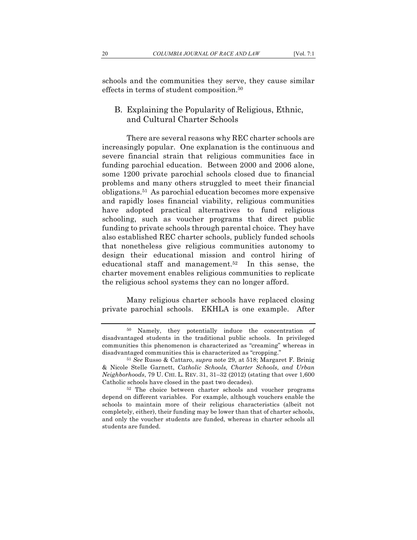schools and the communities they serve, they cause similar effects in terms of student composition.50

### B. Explaining the Popularity of Religious, Ethnic, and Cultural Charter Schools

There are several reasons why REC charter schools are increasingly popular. One explanation is the continuous and severe financial strain that religious communities face in funding parochial education. Between 2000 and 2006 alone, some 1200 private parochial schools closed due to financial problems and many others struggled to meet their financial obligations.51 As parochial education becomes more expensive and rapidly loses financial viability, religious communities have adopted practical alternatives to fund religious schooling, such as voucher programs that direct public funding to private schools through parental choice. They have also established REC charter schools, publicly funded schools that nonetheless give religious communities autonomy to design their educational mission and control hiring of educational staff and management.52 In this sense, the charter movement enables religious communities to replicate the religious school systems they can no longer afford.

Many religious charter schools have replaced closing private parochial schools. EKHLA is one example. After

<sup>50</sup> Namely, they potentially induce the concentration of disadvantaged students in the traditional public schools. In privileged communities this phenomenon is characterized as "creaming" whereas in disadvantaged communities this is characterized as "cropping." 51 *See* Russo & Cattaro, *supra* note 29, at 518; Margaret F. Brinig

<sup>&</sup>amp; Nicole Stelle Garnett, *Catholic Schools, Charter Schools, and Urban Neighborhoods*, 79 U. CHI. L. REV. 31, 31–32 (2012) (stating that over 1,600 Catholic schools have closed in the past two decades). 52 The choice between charter schools and voucher programs

depend on different variables. For example, although vouchers enable the schools to maintain more of their religious characteristics (albeit not completely, either), their funding may be lower than that of charter schools, and only the voucher students are funded, whereas in charter schools all students are funded.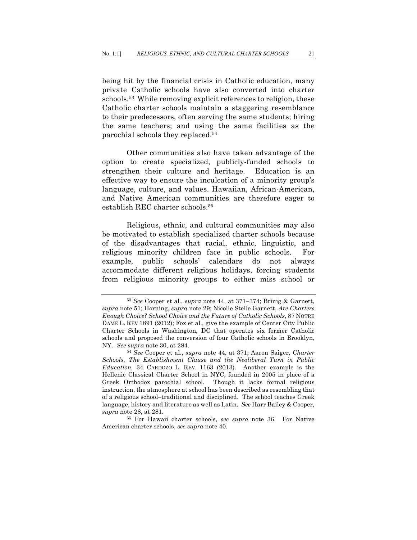being hit by the financial crisis in Catholic education, many private Catholic schools have also converted into charter schools.53 While removing explicit references to religion, these Catholic charter schools maintain a staggering resemblance to their predecessors, often serving the same students; hiring the same teachers; and using the same facilities as the parochial schools they replaced.54

Other communities also have taken advantage of the option to create specialized, publicly-funded schools to strengthen their culture and heritage. Education is an effective way to ensure the inculcation of a minority group's language, culture, and values. Hawaiian, African-American, and Native American communities are therefore eager to establish REC charter schools.55

Religious, ethnic, and cultural communities may also be motivated to establish specialized charter schools because of the disadvantages that racial, ethnic, linguistic, and religious minority children face in public schools. For example, public schools' calendars do not always accommodate different religious holidays, forcing students from religious minority groups to either miss school or

<sup>53</sup> *See* Cooper et al., *supra* note 44, at 371–374; Brinig & Garnett, *supra* note 51; Horning, *supra* note 29; Nicolle Stelle Garnett, *Are Charters Enough Choice? School Choice and the Future of Catholic Schools*, 87 NOTRE DAME L. REV 1891 (2012); Fox et al., give the example of Center City Public Charter Schools in Washington, DC that operates six former Catholic schools and proposed the conversion of four Catholic schools in Brooklyn, NY. *See supra* note 30, at 284. 54 *See* Cooper et al., *supra* note <sup>44</sup>*,* at 371; Aaron Saiger, *Charter* 

*Schools, The Establishment Clause and the Neoliberal Turn in Public Education,* 34 CARDOZO L. REV. 1163 (2013). Another example is the Hellenic Classical Charter School in NYC, founded in 2005 in place of a Greek Orthodox parochial school. Though it lacks formal religious instruction, the atmosphere at school has been described as resembling that of a religious school–traditional and disciplined. The school teaches Greek language, history and literature as well as Latin. *See* Harr Bailey & Cooper, *supra* note 28, at 281. 55 For Hawaii charter schools, *see supra* note 36. For Native

American charter schools, *see supra* note 40.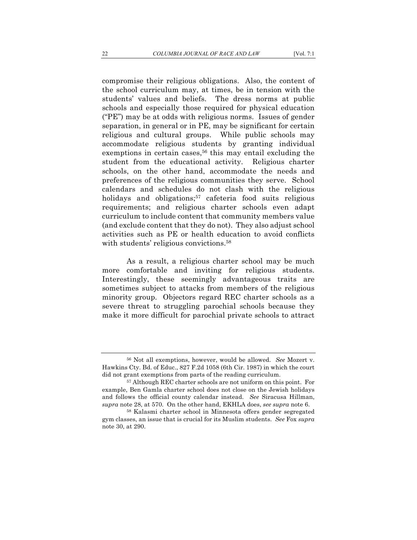compromise their religious obligations. Also, the content of the school curriculum may, at times, be in tension with the students' values and beliefs. The dress norms at public schools and especially those required for physical education ("PE") may be at odds with religious norms. Issues of gender separation, in general or in PE, may be significant for certain religious and cultural groups. While public schools may accommodate religious students by granting individual exemptions in certain cases,<sup>56</sup> this may entail excluding the student from the educational activity. Religious charter schools, on the other hand, accommodate the needs and preferences of the religious communities they serve. School calendars and schedules do not clash with the religious holidays and obligations;<sup>57</sup> cafeteria food suits religious requirements; and religious charter schools even adapt curriculum to include content that community members value (and exclude content that they do not). They also adjust school activities such as PE or health education to avoid conflicts with students' religious convictions.<sup>58</sup>

As a result, a religious charter school may be much more comfortable and inviting for religious students. Interestingly, these seemingly advantageous traits are sometimes subject to attacks from members of the religious minority group. Objectors regard REC charter schools as a severe threat to struggling parochial schools because they make it more difficult for parochial private schools to attract

<sup>56</sup> Not all exemptions, however, would be allowed. *See* Mozert v. Hawkins Cty. Bd. of Educ., 827 F.2d 1058 (6th Cir. 1987) in which the court did not grant exemptions from parts of the reading curriculum.<br><sup>57</sup> Although REC charter schools are not uniform on this point. For

example, Ben Gamla charter school does not close on the Jewish holidays and follows the official county calendar instead. *See* Siracusa Hillman, *supra* note 28, at 570. On the other hand, EKHLA does, *see supra* note 6. 58 Kalasmi charter school in Minnesota offers gender segregated

gym classes, an issue that is crucial for its Muslim students. *See* Fox *supra* note 30, at 290.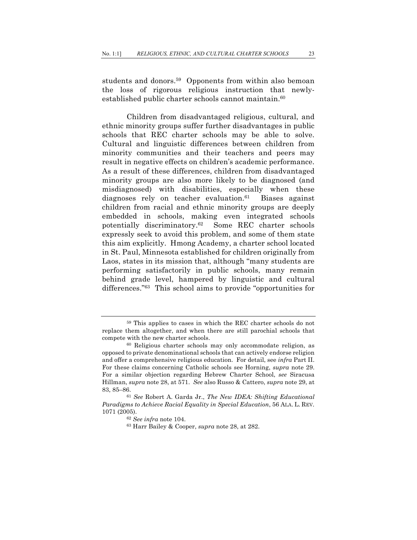students and donors. 59 Opponents from within also bemoan the loss of rigorous religious instruction that newlyestablished public charter schools cannot maintain.<sup>60</sup>

Children from disadvantaged religious, cultural, and ethnic minority groups suffer further disadvantages in public schools that REC charter schools may be able to solve. Cultural and linguistic differences between children from minority communities and their teachers and peers may result in negative effects on children's academic performance. As a result of these differences, children from disadvantaged minority groups are also more likely to be diagnosed (and misdiagnosed) with disabilities, especially when these diagnoses rely on teacher evaluation. $61$  Biases against children from racial and ethnic minority groups are deeply embedded in schools, making even integrated schools potentially discriminatory.62 Some REC charter schools expressly seek to avoid this problem, and some of them state this aim explicitly. Hmong Academy, a charter school located in St. Paul, Minnesota established for children originally from Laos, states in its mission that, although "many students are performing satisfactorily in public schools, many remain behind grade level, hampered by linguistic and cultural differences."63 This school aims to provide "opportunities for

<sup>61</sup> *See* Robert A. Garda Jr., *The New IDEA: Shifting Educational Paradigms to Achieve Racial Equality in Special Education*, 56 ALA. L. REV*.*  1071 (2005). 62 *See infra* note 104. 63 Harr Bailey & Cooper, *supra* note 28, at 282.

<sup>59</sup> This applies to cases in which the REC charter schools do not replace them altogether, and when there are still parochial schools that compete with the new charter schools.<br><sup>60</sup> Religious charter schools may only accommodate religion, as

opposed to private denominational schools that can actively endorse religion and offer a comprehensive religious education. For detail, see *infra* Part II. For these claims concerning Catholic schools see Horning, *supra* note 29. For a similar objection regarding Hebrew Charter School, *see* Siracusa Hillman, *supra* note 28, at 571. *See* also Russo & Cattero, *supra* note 29, at 83, 85–86.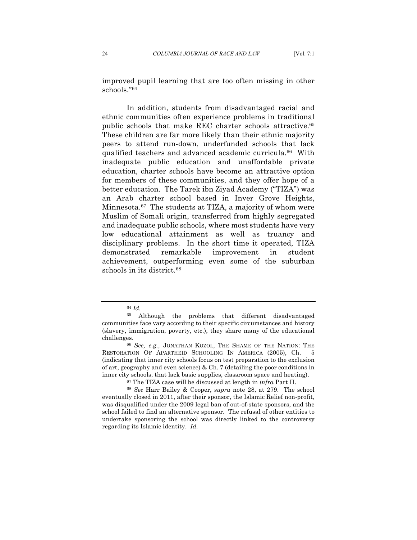improved pupil learning that are too often missing in other schools."64

In addition, students from disadvantaged racial and ethnic communities often experience problems in traditional public schools that make REC charter schools attractive.65 These children are far more likely than their ethnic majority peers to attend run-down, underfunded schools that lack qualified teachers and advanced academic curricula.66 With inadequate public education and unaffordable private education, charter schools have become an attractive option for members of these communities, and they offer hope of a better education. The Tarek ibn Ziyad Academy ("TIZA") was an Arab charter school based in Inver Grove Heights, Minnesota.67 The students at TIZA, a majority of whom were Muslim of Somali origin, transferred from highly segregated and inadequate public schools, where most students have very low educational attainment as well as truancy and disciplinary problems. In the short time it operated, TIZA demonstrated remarkable improvement in student achievement, outperforming even some of the suburban schools in its district.<sup>68</sup>

<sup>64</sup> *Id.* 

<sup>65</sup> Although the problems that different disadvantaged communities face vary according to their specific circumstances and history (slavery, immigration, poverty, etc.), they share many of the educational challenges. 66 *See, e.g.*, JONATHAN KOZOL, THE SHAME OF THE NATION: THE

RESTORATION OF APARTHEID SCHOOLING IN AMERICA (2005), Ch. 5 (indicating that inner city schools focus on test preparation to the exclusion of art, geography and even science) & Ch. 7 (detailing the poor conditions in inner city schools, that lack basic supplies, classroom space and heating).

<sup>67</sup> The TIZA case will be discussed at length in *infra* Part II. 68 *See* Harr Bailey & Cooper, *supra* note 28, at 279. The school eventually closed in 2011, after their sponsor, the Islamic Relief non-profit, was disqualified under the 2009 legal ban of out-of-state sponsors, and the school failed to find an alternative sponsor. The refusal of other entities to undertake sponsoring the school was directly linked to the controversy regarding its Islamic identity. *Id.*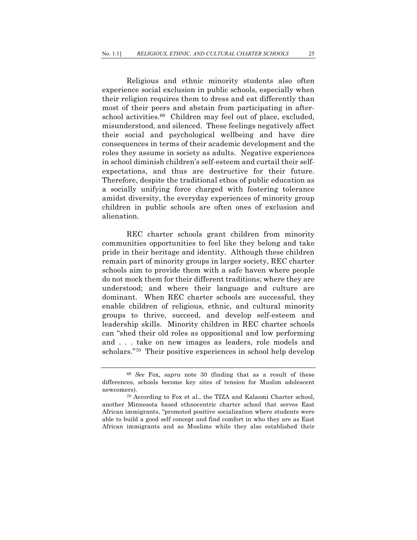Religious and ethnic minority students also often experience social exclusion in public schools, especially when their religion requires them to dress and eat differently than most of their peers and abstain from participating in afterschool activities.<sup>69</sup> Children may feel out of place, excluded, misunderstood, and silenced. These feelings negatively affect their social and psychological wellbeing and have dire consequences in terms of their academic development and the roles they assume in society as adults. Negative experiences in school diminish children's self-esteem and curtail their selfexpectations, and thus are destructive for their future. Therefore, despite the traditional ethos of public education as a socially unifying force charged with fostering tolerance amidst diversity, the everyday experiences of minority group children in public schools are often ones of exclusion and alienation.

REC charter schools grant children from minority communities opportunities to feel like they belong and take pride in their heritage and identity. Although these children remain part of minority groups in larger society, REC charter schools aim to provide them with a safe haven where people do not mock them for their different traditions; where they are understood; and where their language and culture are dominant. When REC charter schools are successful, they enable children of religious, ethnic, and cultural minority groups to thrive, succeed, and develop self-esteem and leadership skills. Minority children in REC charter schools can "shed their old roles as oppositional and low performing and . . . take on new images as leaders, role models and scholars."70 Their positive experiences in school help develop

<sup>69</sup> *See* Fox, *supra* note 30 (finding that as a result of these differences, schools become key sites of tension for Muslim adolescent newcomers).<br><sup>70</sup> According to Fox et al., the TIZA and Kalasmi Charter school,

another Minnesota based ethnocentric charter school that serves East African immigrants, "promoted positive socialization where students were able to build a good self concept and find comfort in who they are as East African immigrants and as Muslims while they also established their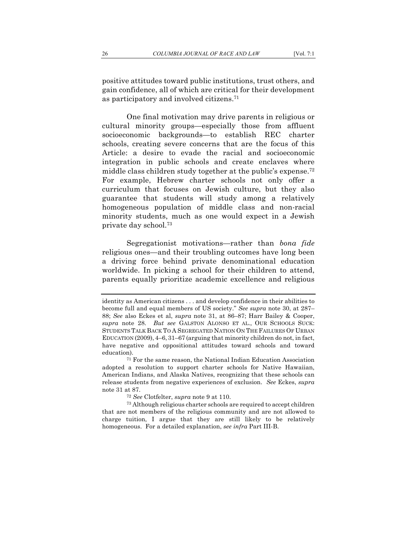One final motivation may drive parents in religious or cultural minority groups—especially those from affluent socioeconomic backgrounds—to establish REC charter schools, creating severe concerns that are the focus of this Article: a desire to evade the racial and socioeconomic integration in public schools and create enclaves where middle class children study together at the public's expense.<sup>72</sup> For example, Hebrew charter schools not only offer a curriculum that focuses on Jewish culture, but they also guarantee that students will study among a relatively homogeneous population of middle class and non-racial minority students, much as one would expect in a Jewish private day school.73

Segregationist motivations—rather than *bona fide*  religious ones—and their troubling outcomes have long been a driving force behind private denominational education worldwide. In picking a school for their children to attend, parents equally prioritize academic excellence and religious

identity as American citizens . . . and develop confidence in their abilities to become full and equal members of US society." *See supra* note 30, at 287– 88; *See* also Eckes et al, *supra* note 31, at 86–87; Harr Bailey & Cooper, *supra* note 28. *But see* GALSTON ALONSO ET AL., OUR SCHOOLS SUCK: STUDENTS TALK BACK TO A SEGREGATED NATION ON THE FAILURES OF URBAN EDUCATION (2009), 4–6, 31–67 (arguing that minority children do not, in fact, have negative and oppositional attitudes toward schools and toward education). 71 For the same reason, the National Indian Education Association

adopted a resolution to support charter schools for Native Hawaiian, American Indians, and Alaska Natives, recognizing that these schools can release students from negative experiences of exclusion. *See* Eckes, *supra* note 31 at 87.<br>
<sup>72</sup> See Clotfelter, *supra* note 9 at 110.

<sup>&</sup>lt;sup>73</sup> Although religious charter schools are required to accept children that are not members of the religious community and are not allowed to charge tuition, I argue that they are still likely to be relatively homogeneous. For a detailed explanation, *see infra* Part III-B.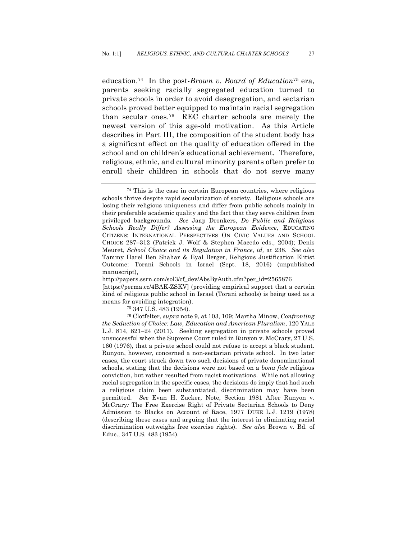education.74 In the post-*Brown v. Board of Education*<sup>75</sup> era, parents seeking racially segregated education turned to private schools in order to avoid desegregation, and sectarian schools proved better equipped to maintain racial segregation than secular ones.76 REC charter schools are merely the newest version of this age-old motivation. As this Article describes in Part III, the composition of the student body has a significant effect on the quality of education offered in the school and on children's educational achievement. Therefore, religious, ethnic, and cultural minority parents often prefer to enroll their children in schools that do not serve many

http://papers.ssrn.com/sol3/cf\_dev/AbsByAuth.cfm?per\_id=2565876 [https://perma.cc/4BAK-ZSKV] (providing empirical support that a certain kind of religious public school in Israel (Torani schools) is being used as a means for avoiding integration). 75 347 U.S. 483 (1954).

<sup>76</sup> Clotfelter, *supra* note 9, at 103, 109; Martha Minow, *Confronting the Seduction of Choice: Law, Education and American Pluralism*, 120 YALE L.J. 814, 821–24 (2011). Seeking segregation in private schools proved unsuccessful when the Supreme Court ruled in Runyon v. McCrary, 27 U.S. 160 (1976), that a private school could not refuse to accept a black student. Runyon, however, concerned a non-sectarian private school. In two later cases, the court struck down two such decisions of private denominational schools, stating that the decisions were not based on a *bona fide* religious conviction, but rather resulted from racist motivations. While not allowing racial segregation in the specific cases, the decisions do imply that had such a religious claim been substantiated, discrimination may have been permitted. *See* Evan H. Zucker, Note, Section 1981 After Runyon v. McCrary*:* The Free Exercise Right of Private Sectarian Schools to Deny Admission to Blacks on Account of Race, 1977 DUKE L.J. 1219 (1978) (describing these cases and arguing that the interest in eliminating racial discrimination outweighs free exercise rights). *See also* Brown v. Bd. of Educ., 347 U.S. 483 (1954).

<sup>74</sup> This is the case in certain European countries, where religious schools thrive despite rapid secularization of society. Religious schools are losing their religious uniqueness and differ from public schools mainly in their preferable academic quality and the fact that they serve children from privileged backgrounds. *See* Jaap Dronkers, *Do Public and Religious Schools Really Differ? Assessing the European Evidence*, EDUCATING CITIZENS: INTERNATIONAL PERSPECTIVES ON CIVIC VALUES AND SCHOOL CHOICE 287–312 (Patrick J. Wolf & Stephen Macedo eds., 2004); Denis Meuret, *School Choice and its Regulation in France*, *id,* at 238. *See also* Tammy Harel Ben Shahar & Eyal Berger, Religious Justification Elitist Outcome: Torani Schools in Israel (Sept. 18, 2016) (unpublished manuscript),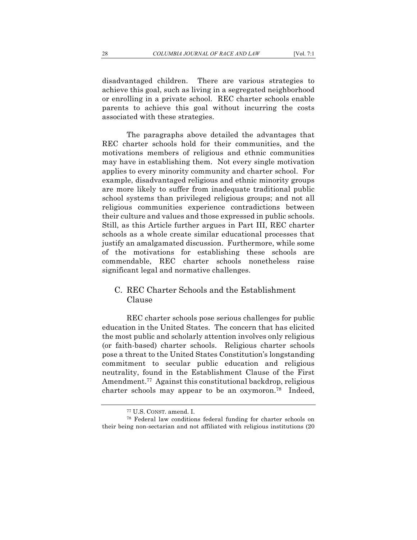disadvantaged children. There are various strategies to achieve this goal, such as living in a segregated neighborhood or enrolling in a private school. REC charter schools enable parents to achieve this goal without incurring the costs associated with these strategies.

The paragraphs above detailed the advantages that REC charter schools hold for their communities, and the motivations members of religious and ethnic communities may have in establishing them. Not every single motivation applies to every minority community and charter school. For example, disadvantaged religious and ethnic minority groups are more likely to suffer from inadequate traditional public school systems than privileged religious groups; and not all religious communities experience contradictions between their culture and values and those expressed in public schools. Still, as this Article further argues in Part III, REC charter schools as a whole create similar educational processes that justify an amalgamated discussion. Furthermore, while some of the motivations for establishing these schools are commendable, REC charter schools nonetheless raise significant legal and normative challenges.

## C. REC Charter Schools and the Establishment Clause

REC charter schools pose serious challenges for public education in the United States. The concern that has elicited the most public and scholarly attention involves only religious (or faith-based) charter schools. Religious charter schools pose a threat to the United States Constitution's longstanding commitment to secular public education and religious neutrality, found in the Establishment Clause of the First Amendment.<sup>77</sup> Against this constitutional backdrop, religious charter schools may appear to be an oxymoron.78 Indeed,

<sup>77</sup> U.S. CONST. amend. I.

<sup>78</sup> Federal law conditions federal funding for charter schools on their being non-sectarian and not affiliated with religious institutions (20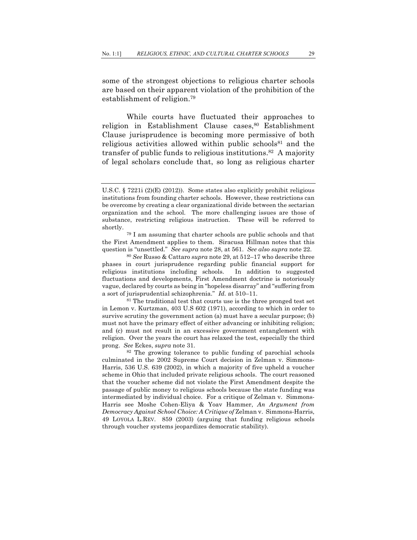some of the strongest objections to religious charter schools are based on their apparent violation of the prohibition of the establishment of religion.79

While courts have fluctuated their approaches to religion in Establishment Clause cases,<sup>80</sup> Establishment Clause jurisprudence is becoming more permissive of both religious activities allowed within public schools<sup>81</sup> and the transfer of public funds to religious institutions.82 A majority of legal scholars conclude that, so long as religious charter

in Lemon v. Kurtzman, 403 U.S 602 (1971), according to which in order to survive scrutiny the government action (a) must have a secular purpose; (b) must not have the primary effect of either advancing or inhibiting religion; and (c) must not result in an excessive government entanglement with religion. Over the years the court has relaxed the test, especially the third prong. *See* Eckes, *supra* note 31.<br><sup>82</sup> The growing tolerance to public funding of parochial schools

culminated in the 2002 Supreme Court decision in Zelman v. Simmons-Harris, 536 U.S. 639 (2002), in which a majority of five upheld a voucher scheme in Ohio that included private religious schools. The court reasoned that the voucher scheme did not violate the First Amendment despite the passage of public money to religious schools because the state funding was intermediated by individual choice. For a critique of Zelman v. Simmons-Harris see Moshe Cohen-Eliya & Yoav Hammer, *An Argument from Democracy Against School Choice: A Critique of* Zelman v. Simmons-Harris, 49 LOYOLA L.REV. 859 (2003) (arguing that funding religious schools through voucher systems jeopardizes democratic stability).

U.S.C. § 7221i (2)(E) (2012)). Some states also explicitly prohibit religious institutions from founding charter schools. However, these restrictions can be overcome by creating a clear organizational divide between the sectarian organization and the school. The more challenging issues are those of substance, restricting religious instruction. These will be referred to shortly.

<sup>79</sup> I am assuming that charter schools are public schools and that the First Amendment applies to them. Siracusa Hillman notes that this question is "unsettled." *See supra* note 28, at 561. *See also supra* note 22. 80 *See* Russo & Cattaro *supra* note 29, at 512–17 who describe three

phases in court jurisprudence regarding public financial support for religious institutions including schools. In addition to suggested fluctuations and developments, First Amendment doctrine is notoriously vague, declared by courts as being in "hopeless disarray" and "suffering from a sort of jurisprudential schizophrenia." *Id.* at 510–11.<br><sup>81</sup> The traditional test that courts use is the three pronged test set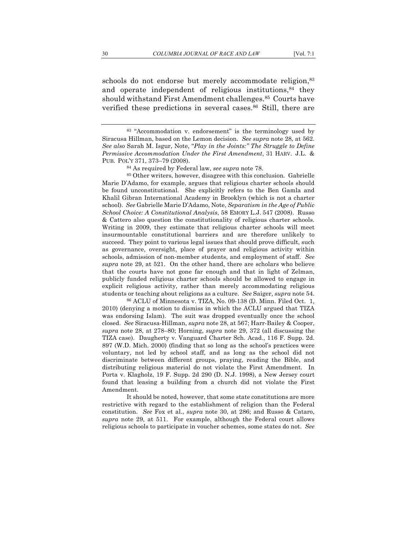schools do not endorse but merely accommodate religion,<sup>83</sup> and operate independent of religious institutions, $84$  they should withstand First Amendment challenges.<sup>85</sup> Courts have verified these predictions in several cases.<sup>86</sup> Still, there are

<sup>84</sup> As required by Federal law, *see supra* note 78.<br><sup>85</sup> Other writers, however, disagree with this conclusion. Gabrielle Marie D'Adamo, for example, argues that religious charter schools should be found unconstitutional. She explicitly refers to the Ben Gamla and Khalil Gibran International Academy in Brooklyn (which is not a charter school). *See* Gabrielle Marie D'Adamo, Note, *Separatism in the Age of Public School Choice: A Constitutional Analysis*, 58 EMORY L.J. 547 (2008). Russo & Cattero also question the constitutionality of religious charter schools. Writing in 2009, they estimate that religious charter schools will meet insurmountable constitutional barriers and are therefore unlikely to succeed. They point to various legal issues that should prove difficult, such as governance, oversight, place of prayer and religious activity within schools, admission of non-member students, and employment of staff. *See supra* note 29, at 521. On the other hand, there are scholars who believe that the courts have not gone far enough and that in light of Zelman, publicly funded religious charter schools should be allowed to engage in explicit religious activity, rather than merely accommodating religious students or teaching about religions as a culture. *See* Saiger, *supra* note 54.

<sup>86</sup> ACLU of Minnesota v. TIZA, No. 09-138 (D. Minn. Filed Oct. 1, 2010) (denying a motion to dismiss in which the ACLU argued that TIZA was endorsing Islam). The suit was dropped eventually once the school closed. *See* Siracusa-Hillman, *supra* note 28, at 567; Harr-Bailey & Cooper, *supra* note 28, at 278–80; Horning, *supra* note 29, 372 (all discussing the TIZA case). Daugherty v. Vanguard Charter Sch. Acad., 116 F. Supp. 2d. 897 (W.D. Mich. 2000) (finding that so long as the school's practices were voluntary, not led by school staff, and as long as the school did not discriminate between different groups, praying, reading the Bible, and distributing religious material do not violate the First Amendment. In Porta v. Klagholz, 19 F. Supp. 2d 290 (D. N.J. 1998), a New Jersey court found that leasing a building from a church did not violate the First Amendment.

It should be noted, however, that some state constitutions are more restrictive with regard to the establishment of religion than the Federal constitution. *See* Fox et al., *supra* note 30, at 286; and Russo & Cataro, *supra* note 29, at 511. For example, although the Federal court allows religious schools to participate in voucher schemes, some states do not. *See*

<sup>83</sup> "Accommodation v. endorsement" is the terminology used by Siracusa Hillman, based on the Lemon decision. *See supra* note 28, at 562. *See also* Sarah M. Isgur, Note, "*Play in the Joints:" The Struggle to Define Permissive Accommodation Under the First Amendment*, 31 HARV. J.L. & PUB. POL'Y 371, 373–79 (2008).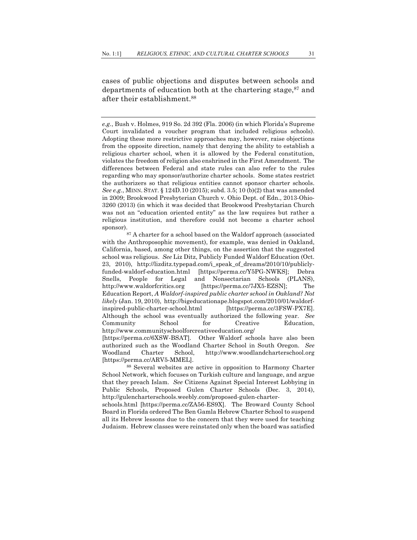cases of public objections and disputes between schools and departments of education both at the chartering stage,  $87$  and after their establishment.88

*e.g.*, Bush v. Holmes, 919 So. 2d 392 (Fla. 2006) (in which Florida's Supreme Court invalidated a voucher program that included religious schools). Adopting these more restrictive approaches may, however, raise objections from the opposite direction, namely that denying the ability to establish a religious charter school, when it is allowed by the Federal constitution, violates the freedom of religion also enshrined in the First Amendment. The differences between Federal and state rules can also refer to the rules regarding who may sponsor/authorize charter schools. Some states restrict the authorizers so that religious entities cannot sponsor charter schools. *See e.g.*, MINN. STAT. § 124D.10 (2015); subd. 3.5; 10 (b)(2) that was amended in 2009; Brookwood Presbyterian Church v. Ohio Dept. of Edn., 2013-Ohio-3260 (2013) (in which it was decided that Brookwood Presbytarian Church was not an "education oriented entity" as the law requires but rather a religious institution, and therefore could not become a charter school sponsor).

<sup>87</sup> A charter for a school based on the Waldorf approach (associated with the Anthroposophic movement), for example, was denied in Oakland, California, based, among other things, on the assertion that the suggested school was religious. *See* Liz Ditz, Publicly Funded Waldorf Education (Oct. 23, 2010), http://lizditz.typepad.com/i\_speak\_of\_dreams/2010/10/publiclyfunded-waldorf-education.html [https://perma.cc/Y5PG-NWKS]; Debra Snells, People for Legal and Nonsectarian Schools (PLANS), http://www.waldorfcritics.org [https://perma.cc/7JX5-EZSN]; The Education Report, *A Waldorf-inspired public charter school in Oakland? Not likely* (Jan. 19, 2010), http://bigeducationape.blogspot.com/2010/01/waldorfinspired-public-charter-school.html [https://perma.cc/3FSW-PX7E]. Although the school was eventually authorized the following year. *See* Community School for Creative Education, http://www.communityschoolforcreativeeducation.org/ [https://perma.cc/6XSW-BSAT]. Other Waldorf schools have also been authorized such as the Woodland Charter School in South Oregon. *See*  Woodland Charter School, http://www.woodlandcharterschool.org

<sup>[</sup>https://perma.cc/ARV5-MMEL].

<sup>88</sup> Several websites are active in opposition to Harmony Charter School Network, which focuses on Turkish culture and language, and argue that they preach Islam. *See* Citizens Against Special Interest Lobbying in Public Schools, Proposed Gulen Charter Schools (Dec. 3, 2014), http://gulencharterschools.weebly.com/proposed-gulen-charter-

schools.html [https://perma.cc/ZA56-ES9X]. The Broward County School Board in Florida ordered The Ben Gamla Hebrew Charter School to suspend all its Hebrew lessons due to the concern that they were used for teaching Judaism. Hebrew classes were reinstated only when the board was satisfied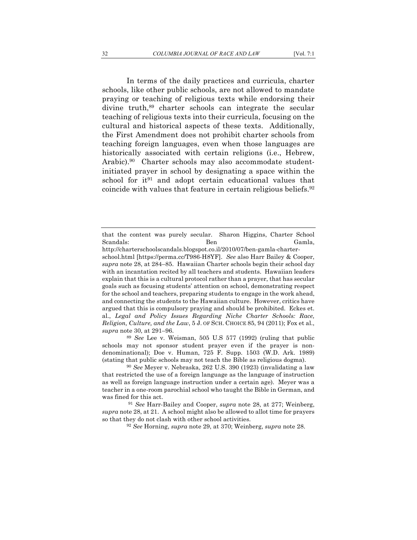In terms of the daily practices and curricula, charter schools, like other public schools, are not allowed to mandate praying or teaching of religious texts while endorsing their divine truth,<sup>89</sup> charter schools can integrate the secular teaching of religious texts into their curricula, focusing on the cultural and historical aspects of these texts. Additionally, the First Amendment does not prohibit charter schools from teaching foreign languages, even when those languages are historically associated with certain religions (i.e., Hebrew, Arabic).<sup>90</sup> Charter schools may also accommodate studentinitiated prayer in school by designating a space within the school for it<sup>91</sup> and adopt certain educational values that coincide with values that feature in certain religious beliefs.92

<sup>89</sup> *See* Lee v. Weisman, 505 U.S 577 (1992) (ruling that public schools may not sponsor student prayer even if the prayer is nondenominational); Doe v. Human, 725 F. Supp. 1503 (W.D. Ark. 1989) (stating that public schools may not teach the Bible as religious dogma). 90 *See* Meyer v. Nebraska, 262 U.S. 390 (1923) (invalidating a law

that restricted the use of a foreign language as the language of instruction as well as foreign language instruction under a certain age). Meyer was a teacher in a one-room parochial school who taught the Bible in German, and was fined for this act.

<sup>91</sup> *See* Harr-Bailey and Cooper, *supra* note 28, at 277; Weinberg, *supra* note 28, at 21. A school might also be allowed to allot time for prayers so that they do not clash with other school activities. 92 *See* Horning, *supra* note 29, at 370; Weinberg, *supra* note 28.

that the content was purely secular. Sharon Higgins, Charter School Scandals: Ben Gamla,

http://charterschoolscandals.blogspot.co.il/2010/07/ben-gamla-charterschool.html [https://perma.cc/T986-H8YF]. *See* also Harr Bailey & Cooper, *supra* note 28, at 284–85. Hawaiian Charter schools begin their school day with an incantation recited by all teachers and students. Hawaiian leaders explain that this is a cultural protocol rather than a prayer, that has secular goals such as focusing students' attention on school, demonstrating respect for the school and teachers, preparing students to engage in the work ahead, and connecting the students to the Hawaiian culture. However, critics have argued that this is compulsory praying and should be prohibited. Eckes et. al., *Legal and Policy Issues Regarding Niche Charter Schools: Race, Religion, Culture, and the Law*, 5 J. OF SCH. CHOICE 85, 94 (2011); Fox et al., *supra* note 30, at 291–96.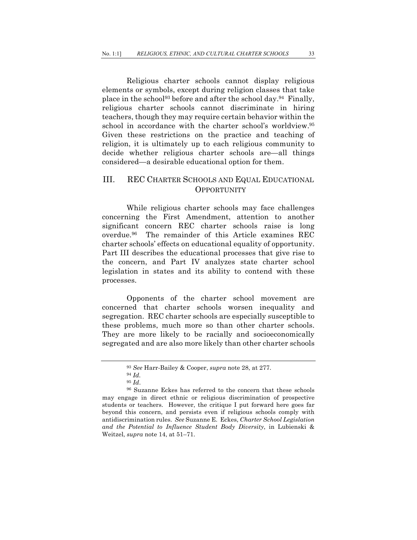Religious charter schools cannot display religious elements or symbols, except during religion classes that take place in the school<sup>93</sup> before and after the school day.<sup>94</sup> Finally, religious charter schools cannot discriminate in hiring teachers, though they may require certain behavior within the school in accordance with the charter school's worldview.95 Given these restrictions on the practice and teaching of religion, it is ultimately up to each religious community to decide whether religious charter schools are—all things considered—a desirable educational option for them.

## III. REC CHARTER SCHOOLS AND EQUAL EDUCATIONAL **OPPORTUNITY**

While religious charter schools may face challenges concerning the First Amendment, attention to another significant concern REC charter schools raise is long overdue.96 The remainder of this Article examines REC charter schools' effects on educational equality of opportunity. Part III describes the educational processes that give rise to the concern, and Part IV analyzes state charter school legislation in states and its ability to contend with these processes.

Opponents of the charter school movement are concerned that charter schools worsen inequality and segregation. REC charter schools are especially susceptible to these problems, much more so than other charter schools. They are more likely to be racially and socioeconomically segregated and are also more likely than other charter schools

<sup>93</sup> *See* Harr-Bailey & Cooper, *supra* note 28, at 277. 94 *Id.* 

<sup>&</sup>lt;sup>96</sup> Suzanne Eckes has referred to the concern that these schools may engage in direct ethnic or religious discrimination of prospective students or teachers. However, the critique I put forward here goes far beyond this concern, and persists even if religious schools comply with antidiscrimination rules. *See* Suzanne E. Eckes, *Charter School Legislation and the Potential to Influence Student Body Diversity*, in Lubienski & Weitzel, *supra* note 14, at 51–71.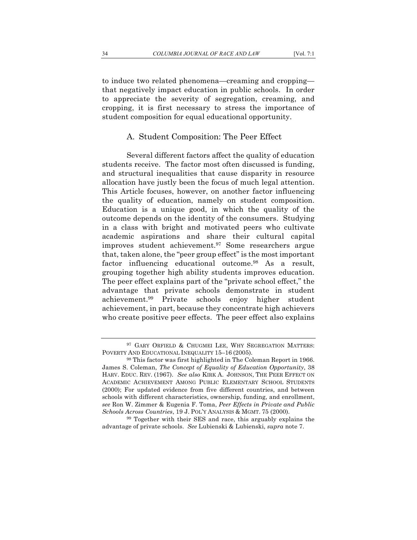to induce two related phenomena—creaming and cropping that negatively impact education in public schools. In order to appreciate the severity of segregation, creaming, and cropping, it is first necessary to stress the importance of student composition for equal educational opportunity.

#### A. Student Composition: The Peer Effect

Several different factors affect the quality of education students receive. The factor most often discussed is funding, and structural inequalities that cause disparity in resource allocation have justly been the focus of much legal attention. This Article focuses, however, on another factor influencing the quality of education, namely on student composition. Education is a unique good, in which the quality of the outcome depends on the identity of the consumers. Studying in a class with bright and motivated peers who cultivate academic aspirations and share their cultural capital improves student achievement.97 Some researchers argue that, taken alone, the "peer group effect" is the most important factor influencing educational outcome.98 As a result, grouping together high ability students improves education. The peer effect explains part of the "private school effect," the advantage that private schools demonstrate in student achievement.99 Private schools enjoy higher student achievement, in part, because they concentrate high achievers who create positive peer effects. The peer effect also explains

<sup>&</sup>lt;sup>97</sup> GARY ORFIELD & CHUGMEI LEE, WHY SEGREGATION MATTERS: POVERTY AND EDUCATIONAL INEQUALITY 15–16 (2005).

<sup>98</sup> This factor was first highlighted in The Coleman Report in 1966. James S. Coleman, *The Concept of Equality of Education Opportunity*, 38 HARV. EDUC. REV. (1967). *See also* KIRK A. JOHNSON, THE PEER EFFECT ON ACADEMIC ACHIEVEMENT AMONG PUBLIC ELEMENTARY SCHOOL STUDENTS (2000); For updated evidence from five different countries, and between schools with different characteristics, ownership, funding, and enrollment, *see* Ron W. Zimmer & Eugenia F. Toma, *Peer Effects in Private and Public Schools Across Countries*, 19 J. POL'Y ANALYSIS & MGMT. 75 (2000).<br><sup>99</sup> Together with their SES and race, this arguably explains the

advantage of private schools. *See* Lubienski & Lubienski, *supra* note 7.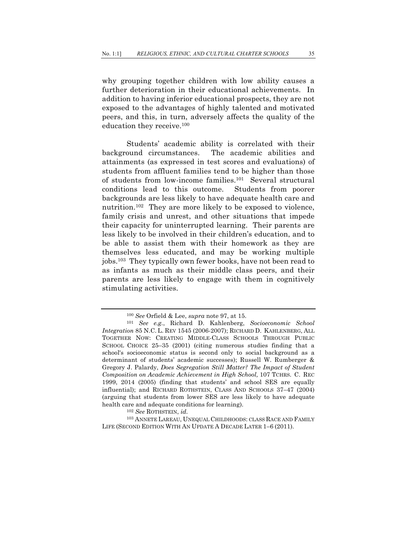why grouping together children with low ability causes a further deterioration in their educational achievements. In addition to having inferior educational prospects, they are not exposed to the advantages of highly talented and motivated peers, and this, in turn, adversely affects the quality of the education they receive.100

Students' academic ability is correlated with their background circumstances. The academic abilities and attainments (as expressed in test scores and evaluations) of students from affluent families tend to be higher than those of students from low-income families.101 Several structural conditions lead to this outcome. Students from poorer backgrounds are less likely to have adequate health care and nutrition.<sup>102</sup> They are more likely to be exposed to violence, family crisis and unrest, and other situations that impede their capacity for uninterrupted learning. Their parents are less likely to be involved in their children's education, and to be able to assist them with their homework as they are themselves less educated, and may be working multiple jobs.103 They typically own fewer books, have not been read to as infants as much as their middle class peers, and their parents are less likely to engage with them in cognitively stimulating activities.

<sup>103</sup> ANNETE LAREAU, UNEQUAL CHILDHOODS: CLASS RACE AND FAMILY LIFE (SECOND EDITION WITH AN UPDATE A DECADE LATER 1–6 (2011).

<sup>100</sup> *See* Orfield & Lee, *supra* note 97, at 15.

<sup>101</sup> *See e.g.*, Richard D. Kahlenberg, *Socioeconomic School Integration* 85 N.C. L. REV 1545 (2006-2007); RICHARD D. KAHLENBERG, ALL TOGETHER NOW: CREATING MIDDLE-CLASS SCHOOLS THROUGH PUBLIC SCHOOL CHOICE 25–35 (2001) (citing numerous studies finding that a school's socioeconomic status is second only to social background as a determinant of students' academic successes); Russell W. Rumberger & Gregory J. Palardy, *Does Segregation Still Matter? The Impact of Student Composition on Academic Achievement in High School,* 107 TCHRS. C. REC 1999, 2014 (2005) (finding that students' and school SES are equally influential); and RICHARD ROTHSTEIN, CLASS AND SCHOOLS 37–47 (2004) (arguing that students from lower SES are less likely to have adequate health care and adequate conditions for learning). 102 *See* ROTHSTEIN, *id.*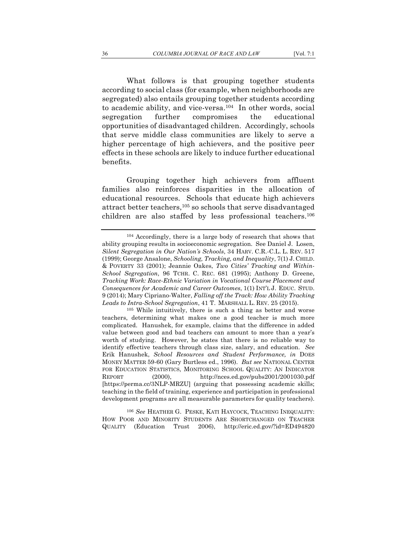What follows is that grouping together students according to social class (for example, when neighborhoods are segregated) also entails grouping together students according to academic ability, and vice-versa.<sup>104</sup> In other words, social segregation further compromises the educational opportunities of disadvantaged children. Accordingly, schools that serve middle class communities are likely to serve a higher percentage of high achievers, and the positive peer effects in these schools are likely to induce further educational

benefits.

Grouping together high achievers from affluent families also reinforces disparities in the allocation of educational resources. Schools that educate high achievers attract better teachers,105 so schools that serve disadvantaged children are also staffed by less professional teachers.106

teachers, determining what makes one a good teacher is much more complicated. Hanushek, for example, claims that the difference in added value between good and bad teachers can amount to more than a year's worth of studying. However, he states that there is no reliable way to identify effective teachers through class size, salary, and education. *See* Erik Hanushek, *School Resources and Student Performance, in* DOES MONEY MATTER 59-60 (Gary Burtless ed., 1996). *But see* NATIONAL CENTER FOR EDUCATION STATISTICS, MONITORING SCHOOL QUALITY: AN INDICATOR REPORT (2000), http://nces.ed.gov/pubs2001/2001030.pdf [https://perma.cc/3NLP-MRZU] (arguing that possessing academic skills; teaching in the field of training, experience and participation in professional development programs are all measurable parameters for quality teachers).

<sup>106</sup> *See* HEATHER G. PESKE, KATI HAYCOCK, TEACHING INEQUALITY: HOW POOR AND MINORITY STUDENTS ARE SHORTCHANGED ON TEACHER QUALITY (Education Trust 2006), http://eric.ed.gov/?id=ED494820

<sup>104</sup> Accordingly, there is a large body of research that shows that ability grouping results in socioeconomic segregation. See Daniel J. Losen, *Silent Segregation in Our Nation's Schools*, 34 HARV. C.R.-C.L. L. REV. 517 (1999); George Ansalone, *Schooling, Tracking, and Inequality*, 7(1) J. CHILD. & POVERTY 33 (2001); Jeannie Oakes, *Two Cities' Tracking and Within-School Segregation*, 96 TCHR. C. REC. 681 (1995); Anthony D. Greene, *Tracking Work: Race-Ethnic Variation in Vocational Course Placement and Consequences for Academic and Career Outcomes*, 1(1) INT'L J. EDUC. STUD. 9 (2014); Mary Cipriano-Walter, *Falling off the Track: How Ability Tracking Leads to Intra-School Segregation*, 41 T. MARSHALL L. REV. 25 (2015). 105 While intuitively, there is such a thing as better and worse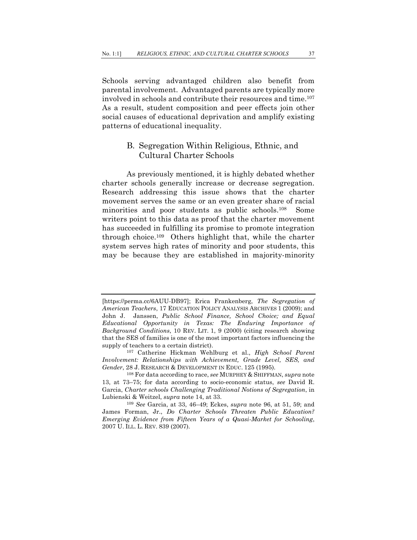Schools serving advantaged children also benefit from parental involvement. Advantaged parents are typically more involved in schools and contribute their resources and time.<sup>107</sup> As a result, student composition and peer effects join other social causes of educational deprivation and amplify existing patterns of educational inequality.

# B. Segregation Within Religious, Ethnic, and Cultural Charter Schools

As previously mentioned, it is highly debated whether charter schools generally increase or decrease segregation. Research addressing this issue shows that the charter movement serves the same or an even greater share of racial minorities and poor students as public schools.108 Some writers point to this data as proof that the charter movement has succeeded in fulfilling its promise to promote integration through choice.109 Others highlight that, while the charter system serves high rates of minority and poor students, this may be because they are established in majority-minority

<sup>[</sup>https://perma.cc/6AUU-DB97]; Erica Frankenberg, *The Segregation of American Teachers*, 17 EDUCATION POLICY ANALYSIS ARCHIVES 1 (2009); and John J. Janssen, *Public School Finance, School Choice; and Equal Educational Opportunity in Texas: The Enduring Importance of Background Conditions*, 10 REV. LIT. 1, 9 (2000) (citing research showing that the SES of families is one of the most important factors influencing the supply of teachers to a certain district). 107 Catherine Hickman Wehlburg et al., *High School Parent* 

*Involvement: Relationships with Achievement, Grade Level, SES, and Gender*, 28 J. RESEARCH & DEVELOPMENT IN EDUC. 125 (1995). 108 For data according to race, *see* MURPHEY & SHIFFMAN, *supra* note

<sup>13,</sup> at 73–75; for data according to socio-economic status, *see* David R. Garcia, *Charter schools Challenging Traditional Notions of Segregation*, in Lubienski & Weitzel, *supra* note 14, at 33. 109 *See* Garcia, at 33, 46–49; Eckes, *supra* note 96, at 51, 59; and

James Forman, Jr., *Do Charter Schools Threaten Public Education? Emerging Evidence from Fifteen Years of a Quasi-Market for Schooling*, 2007 U. ILL. L. REV. 839 (2007).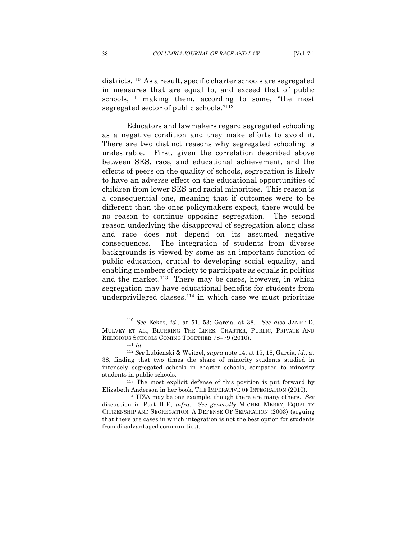districts.110 As a result, specific charter schools are segregated in measures that are equal to, and exceed that of public schools,111 making them, according to some, "the most segregated sector of public schools."112

Educators and lawmakers regard segregated schooling as a negative condition and they make efforts to avoid it. There are two distinct reasons why segregated schooling is undesirable. First, given the correlation described above between SES, race, and educational achievement, and the effects of peers on the quality of schools, segregation is likely to have an adverse effect on the educational opportunities of children from lower SES and racial minorities. This reason is a consequential one, meaning that if outcomes were to be different than the ones policymakers expect, there would be no reason to continue opposing segregation. The second reason underlying the disapproval of segregation along class and race does not depend on its assumed negative consequences. The integration of students from diverse backgrounds is viewed by some as an important function of public education, crucial to developing social equality, and enabling members of society to participate as equals in politics and the market.<sup>113</sup> There may be cases, however, in which segregation may have educational benefits for students from underprivileged classes,  $114$  in which case we must prioritize

students in public schools.<br><sup>113</sup> The most explicit defense of this position is put forward by Elizabeth Anderson in her book, THE IMPERATIVE OF INTEGRATION (2010). 114 TIZA may be one example, though there are many others. *See*

discussion in Part II-E, *infra*. *See generally* MICHEL MERRY, EQUALITY CITIZENSHIP AND SEGREGATION: A DEFENSE OF SEPARATION (2003) (arguing that there are cases in which integration is not the best option for students from disadvantaged communities).

<sup>110</sup> *See* Eckes, *id*., at 51, 53; Garcia, at 38. *See also* JANET D. MULVEY ET AL., BLURRING THE LINES: CHARTER, PUBLIC, PRIVATE AND RELIGIOUS SCHOOLS COMING TOGETHER 78–79 (2010). 111 *Id.*<sup>112</sup> *See* Lubienski & Weitzel, *supra* note 14, at 15, 18; Garcia, *id.*, at

<sup>38,</sup> finding that two times the share of minority students studied in intensely segregated schools in charter schools, compared to minority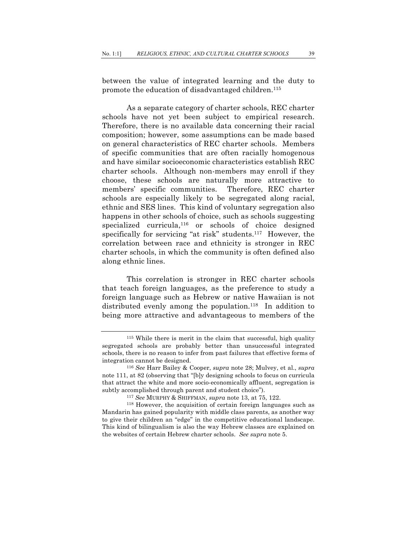between the value of integrated learning and the duty to promote the education of disadvantaged children.<sup>115</sup>

As a separate category of charter schools, REC charter schools have not yet been subject to empirical research. Therefore, there is no available data concerning their racial composition; however, some assumptions can be made based on general characteristics of REC charter schools. Members of specific communities that are often racially homogenous and have similar socioeconomic characteristics establish REC charter schools. Although non-members may enroll if they choose, these schools are naturally more attractive to members' specific communities. Therefore, REC charter schools are especially likely to be segregated along racial, ethnic and SES lines. This kind of voluntary segregation also happens in other schools of choice, such as schools suggesting specialized curricula,116 or schools of choice designed specifically for servicing "at risk" students.<sup>117</sup> However, the correlation between race and ethnicity is stronger in REC charter schools, in which the community is often defined also along ethnic lines.

This correlation is stronger in REC charter schools that teach foreign languages, as the preference to study a foreign language such as Hebrew or native Hawaiian is not distributed evenly among the population.<sup>118</sup> In addition to being more attractive and advantageous to members of the

<sup>115</sup> While there is merit in the claim that successful, high quality segregated schools are probably better than unsuccessful integrated schools, there is no reason to infer from past failures that effective forms of integration cannot be designed. 116 *See* Harr Bailey & Cooper, *supra* note 28; Mulvey, et al., *supra*

note 111, at 82 (observing that "[b]y designing schools to focus on curricula that attract the white and more socio-economically affluent, segregation is subtly accomplished through parent and student choice").

<sup>&</sup>lt;sup>117</sup> *See* MURPHY & SHIFFMAN, *supra* note 13, at 75, 122.<br><sup>118</sup> However, the acquisition of certain foreign languages such as Mandarin has gained popularity with middle class parents, as another way to give their children an "edge" in the competitive educational landscape. This kind of bilingualism is also the way Hebrew classes are explained on the websites of certain Hebrew charter schools. *See supra* note 5.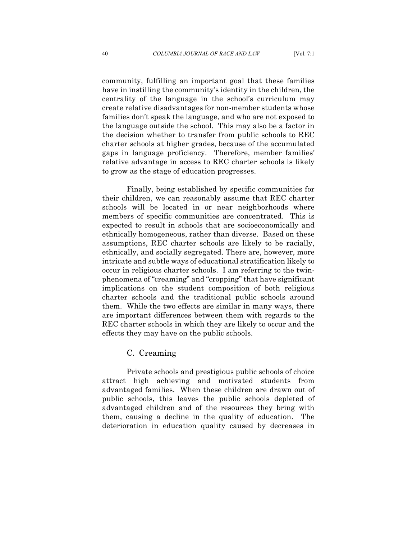community, fulfilling an important goal that these families have in instilling the community's identity in the children, the centrality of the language in the school's curriculum may create relative disadvantages for non-member students whose families don't speak the language, and who are not exposed to the language outside the school. This may also be a factor in the decision whether to transfer from public schools to REC charter schools at higher grades, because of the accumulated gaps in language proficiency. Therefore, member families' relative advantage in access to REC charter schools is likely to grow as the stage of education progresses.

Finally, being established by specific communities for their children, we can reasonably assume that REC charter schools will be located in or near neighborhoods where members of specific communities are concentrated. This is expected to result in schools that are socioeconomically and ethnically homogeneous, rather than diverse. Based on these assumptions, REC charter schools are likely to be racially, ethnically, and socially segregated. There are, however, more intricate and subtle ways of educational stratification likely to occur in religious charter schools. I am referring to the twinphenomena of "creaming" and "cropping" that have significant implications on the student composition of both religious charter schools and the traditional public schools around them. While the two effects are similar in many ways, there are important differences between them with regards to the REC charter schools in which they are likely to occur and the effects they may have on the public schools.

### C. Creaming

Private schools and prestigious public schools of choice attract high achieving and motivated students from advantaged families. When these children are drawn out of public schools, this leaves the public schools depleted of advantaged children and of the resources they bring with them, causing a decline in the quality of education. The deterioration in education quality caused by decreases in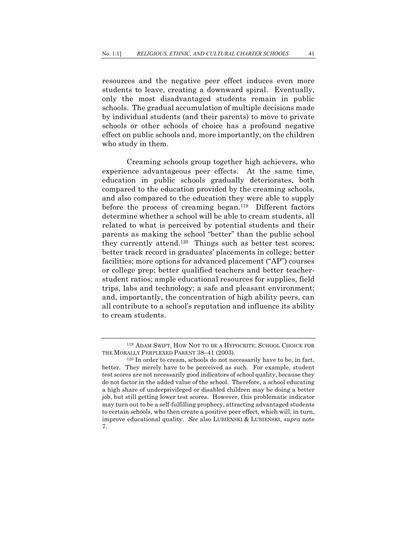resources and the negative peer effect induces even more students to leave, creating a downward spiral. Eventually, only the most disadvantaged students remain in public schools. The gradual accumulation of multiple decisions made by individual students (and their parents) to move to private schools or other schools of choice has a profound negative effect on public schools and, more importantly, on the children who study in them.

Creaming schools group together high achievers, who experience advantageous peer effects. At the same time, education in public schools gradually deteriorates, both compared to the education provided by the creaming schools, and also compared to the education they were able to supply before the process of creaming began.119 Different factors determine whether a school will be able to cream students, all related to what is perceived by potential students and their parents as making the school "better" than the public school they currently attend.120 Things such as better test scores; better track record in graduates' placements in college; better facilities; more options for advanced placement ("AP") courses or college prep; better qualified teachers and better teacherstudent ratios; ample educational resources for supplies, field trips, labs and technology; a safe and pleasant environment; and, importantly, the concentration of high ability peers, can all contribute to a school's reputation and influence its ability to cream students.

<sup>119</sup> ADAM SWIFT, HOW NOT TO BE A HYPOCRITE: SCHOOL CHOICE FOR THE MORALLY PERPLEXED PARENT 38–41 (2003).

<sup>120</sup> In order to cream, schools do not necessarily have to be, in fact, better. They merely have to be perceived as such. For example, student test scores are not necessarily good indicators of school quality, because they do not factor in the added value of the school. Therefore, a school educating a high share of underprivileged or disabled children may be doing a better job, but still getting lower test scores. However, this problematic indicator may turn out to be a self-fulfilling prophecy, attracting advantaged students to certain schools, who then create a positive peer effect, which will, in turn, improve educational quality. *See* also LUBIENSKI & LUBIENSKI, *supra* note 7.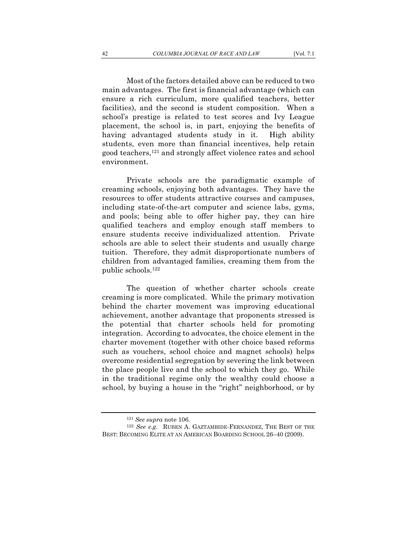Most of the factors detailed above can be reduced to two main advantages. The first is financial advantage (which can ensure a rich curriculum, more qualified teachers, better facilities), and the second is student composition. When a school's prestige is related to test scores and Ivy League placement, the school is, in part, enjoying the benefits of having advantaged students study in it. High ability students, even more than financial incentives, help retain good teachers,121 and strongly affect violence rates and school environment.

Private schools are the paradigmatic example of creaming schools, enjoying both advantages. They have the resources to offer students attractive courses and campuses, including state-of-the-art computer and science labs, gyms, and pools; being able to offer higher pay, they can hire qualified teachers and employ enough staff members to ensure students receive individualized attention. Private schools are able to select their students and usually charge tuition. Therefore, they admit disproportionate numbers of children from advantaged families, creaming them from the public schools.122

The question of whether charter schools create creaming is more complicated. While the primary motivation behind the charter movement was improving educational achievement, another advantage that proponents stressed is the potential that charter schools held for promoting integration. According to advocates, the choice element in the charter movement (together with other choice based reforms such as vouchers, school choice and magnet schools) helps overcome residential segregation by severing the link between the place people live and the school to which they go. While in the traditional regime only the wealthy could choose a school, by buying a house in the "right" neighborhood, or by

<sup>&</sup>lt;sup>121</sup> *See supra* note 106.<br><sup>122</sup> *See e.g.* RUBEN A. GAZTAMBIDE-FERNANDEZ, THE BEST OF THE BEST: BECOMING ELITE AT AN AMERICAN BOARDING SCHOOL 26–40 (2009).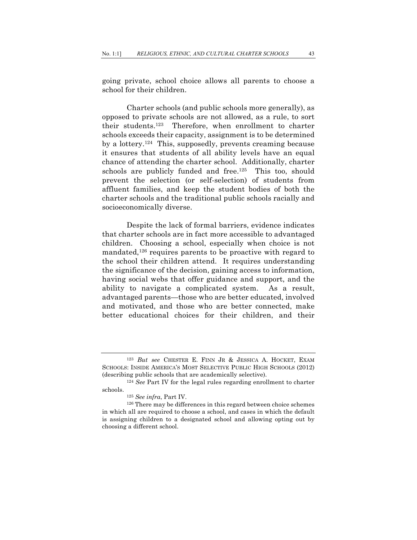going private, school choice allows all parents to choose a school for their children.

Charter schools (and public schools more generally), as opposed to private schools are not allowed, as a rule, to sort their students.123 Therefore, when enrollment to charter schools exceeds their capacity, assignment is to be determined by a lottery.124 This, supposedly, prevents creaming because it ensures that students of all ability levels have an equal chance of attending the charter school. Additionally, charter schools are publicly funded and free.<sup>125</sup> This too, should prevent the selection (or self-selection) of students from affluent families, and keep the student bodies of both the charter schools and the traditional public schools racially and socioeconomically diverse.

Despite the lack of formal barriers, evidence indicates that charter schools are in fact more accessible to advantaged children. Choosing a school, especially when choice is not mandated,<sup>126</sup> requires parents to be proactive with regard to the school their children attend. It requires understanding the significance of the decision, gaining access to information, having social webs that offer guidance and support, and the ability to navigate a complicated system. As a result, advantaged parents—those who are better educated, involved and motivated, and those who are better connected, make better educational choices for their children, and their

<sup>123</sup> *But see* CHESTER E. FINN JR & JESSICA A. HOCKET, EXAM SCHOOLS: INSIDE AMERICA'S MOST SELECTIVE PUBLIC HIGH SCHOOLS (2012) (describing public schools that are academically selective). 124 *See* Part IV for the legal rules regarding enrollment to charter

schools. 125 *See infra*, Part IV. 126 There may be differences in this regard between choice schemes

in which all are required to choose a school, and cases in which the default is assigning children to a designated school and allowing opting out by choosing a different school.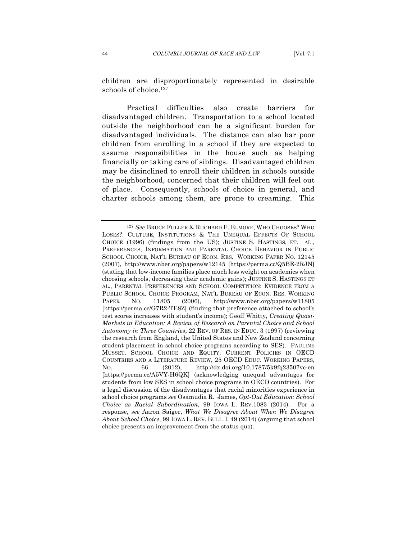children are disproportionately represented in desirable schools of choice.<sup>127</sup>

Practical difficulties also create barriers for disadvantaged children. Transportation to a school located outside the neighborhood can be a significant burden for disadvantaged individuals. The distance can also bar poor children from enrolling in a school if they are expected to assume responsibilities in the house such as helping financially or taking care of siblings. Disadvantaged children may be disinclined to enroll their children in schools outside the neighborhood, concerned that their children will feel out of place. Consequently, schools of choice in general, and charter schools among them, are prone to creaming. This

<sup>127</sup> *See* BRUCE FULLER & RUCHARD F. ELMORE, WHO CHOOSES? WHO LOSES?: CULTURE, INSTITUTIONS & THE UNEQUAL EFFECTS OF SCHOOL CHOICE (1996) (findings from the US); JUSTINE S. HASTINGS, ET. AL., PREFERENCES, INFORMATION AND PARENTAL CHOICE BEHAVIOR IN PUBLIC SCHOOL CHOICE, NAT'L BUREAU OF ECON. RES. WORKING PAPER NO. 12145 (2007), http://www.nber.org/papers/w12145 [https://perma.cc/Q5BE-2RJN] (stating that low-income families place much less weight on academics when choosing schools, decreasing their academic gains); JUSTINE S. HASTINGS ET AL., PARENTAL PREFERENCES AND SCHOOL COMPETITION: EVIDENCE FROM A PUBLIC SCHOOL CHOICE PROGRAM, NAT'L BUREAU OF ECON. RES. WORKING PAPER NO. 11805 (2006), http://www.nber.org/papers/w11805 [https://perma.cc/G7R2-TE8Z] (finding that preference attached to school's test scores increases with student's income); Geoff Whitty, *Creating Quasi-Markets in Education: A Review of Research on Parental Choice and School Autonomy in Three Countries*, 22 REV. OF RES. IN EDUC. 3 (1997) (reviewing the research from England, the United States and New Zealand concerning student placement in school choice programs according to SES). PAULINE MUSSET, SCHOOL CHOICE AND EQUITY: CURRENT POLICIES IN OECD COUNTRIES AND A LITERATURE REVIEW, 25 OECD EDUC. WORKING PAPERS, NO. 66 (2012), http://dx.doi.org/10.1787/5k9fq23507vc-en [https://perma.cc/A5VY-H6QK] (acknowledging unequal advantages for students from low SES in school choice programs in OECD countries). For a legal discussion of the disadvantages that racial minorities experience in school choice programs *see* Osamudia R. James, *Opt-Out Education: School Choice as Racial Subordination*, 99 IOWA L. REV.1083 (2014). For a response, *see* Aaron Saiger, *What We Disagree About When We Disagree About School Choice*, 99 IOWA L. REV. BULL. l, 49 (2014) (arguing that school choice presents an improvement from the status quo).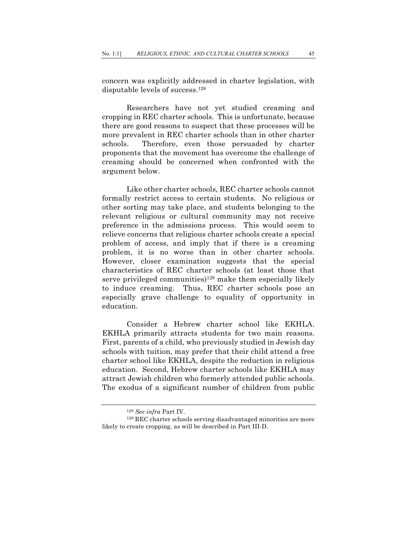concern was explicitly addressed in charter legislation, with disputable levels of success.128

Researchers have not yet studied creaming and cropping in REC charter schools. This is unfortunate, because there are good reasons to suspect that these processes will be more prevalent in REC charter schools than in other charter schools. Therefore, even those persuaded by charter proponents that the movement has overcome the challenge of creaming should be concerned when confronted with the argument below.

Like other charter schools, REC charter schools cannot formally restrict access to certain students. No religious or other sorting may take place, and students belonging to the relevant religious or cultural community may not receive preference in the admissions process. This would seem to relieve concerns that religious charter schools create a special problem of access, and imply that if there is a creaming problem, it is no worse than in other charter schools. However, closer examination suggests that the special characteristics of REC charter schools (at least those that serve privileged communities)<sup>129</sup> make them especially likely to induce creaming. Thus, REC charter schools pose an especially grave challenge to equality of opportunity in education.

Consider a Hebrew charter school like EKHLA. EKHLA primarily attracts students for two main reasons. First, parents of a child, who previously studied in Jewish day schools with tuition, may prefer that their child attend a free charter school like EKHLA, despite the reduction in religious education. Second, Hebrew charter schools like EKHLA may attract Jewish children who formerly attended public schools. The exodus of a significant number of children from public

<sup>&</sup>lt;sup>128</sup> See infra Part IV.<br><sup>129</sup> REC charter schools serving disadvantaged minorities are more likely to create cropping, as will be described in Part III-D.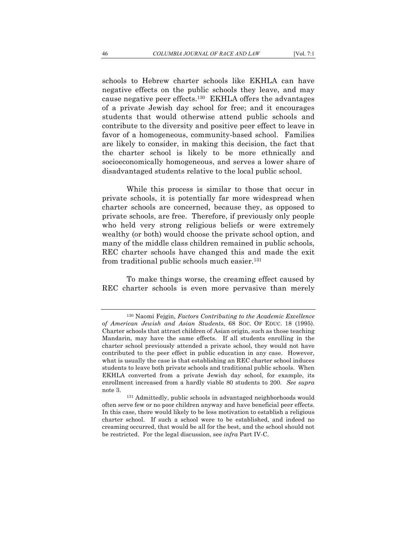schools to Hebrew charter schools like EKHLA can have negative effects on the public schools they leave, and may cause negative peer effects.130 EKHLA offers the advantages of a private Jewish day school for free; and it encourages students that would otherwise attend public schools and contribute to the diversity and positive peer effect to leave in favor of a homogeneous, community-based school. Families are likely to consider, in making this decision, the fact that the charter school is likely to be more ethnically and

While this process is similar to those that occur in private schools, it is potentially far more widespread when charter schools are concerned, because they, as opposed to private schools, are free. Therefore, if previously only people who held very strong religious beliefs or were extremely wealthy (or both) would choose the private school option, and many of the middle class children remained in public schools, REC charter schools have changed this and made the exit from traditional public schools much easier.131

socioeconomically homogeneous, and serves a lower share of disadvantaged students relative to the local public school.

To make things worse, the creaming effect caused by REC charter schools is even more pervasive than merely

<sup>130</sup> Naomi Fejgin, *Factors Contributing to the Academic Excellence of American Jewish and Asian Students*, 68 SOC. OF EDUC. 18 (1995). Charter schools that attract children of Asian origin, such as those teaching Mandarin, may have the same effects. If all students enrolling in the charter school previously attended a private school, they would not have contributed to the peer effect in public education in any case. However, what is usually the case is that establishing an REC charter school induces students to leave both private schools and traditional public schools. When EKHLA converted from a private Jewish day school, for example, its enrollment increased from a hardly viable 80 students to 200. *See supra*

note 3. 131 Admittedly, public schools in advantaged neighborhoods would often serve few or no poor children anyway and have beneficial peer effects. In this case, there would likely to be less motivation to establish a religious charter school. If such a school were to be established, and indeed no creaming occurred, that would be all for the best, and the school should not be restricted. For the legal discussion, see *infra* Part IV-C.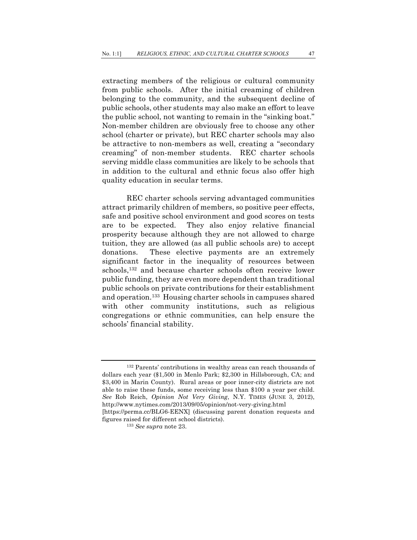extracting members of the religious or cultural community from public schools. After the initial creaming of children belonging to the community, and the subsequent decline of public schools, other students may also make an effort to leave the public school, not wanting to remain in the "sinking boat." Non-member children are obviously free to choose any other school (charter or private), but REC charter schools may also be attractive to non-members as well, creating a "secondary creaming" of non-member students. REC charter schools serving middle class communities are likely to be schools that in addition to the cultural and ethnic focus also offer high quality education in secular terms.

REC charter schools serving advantaged communities attract primarily children of members, so positive peer effects, safe and positive school environment and good scores on tests are to be expected. They also enjoy relative financial prosperity because although they are not allowed to charge tuition, they are allowed (as all public schools are) to accept donations. These elective payments are an extremely significant factor in the inequality of resources between schools,132 and because charter schools often receive lower public funding, they are even more dependent than traditional public schools on private contributions for their establishment and operation.133 Housing charter schools in campuses shared with other community institutions, such as religious congregations or ethnic communities, can help ensure the schools' financial stability.

<sup>132</sup> Parents' contributions in wealthy areas can reach thousands of dollars each year (\$1,500 in Menlo Park; \$2,300 in Hillsborough, CA; and \$3,400 in Marin County). Rural areas or poor inner-city districts are not able to raise these funds, some receiving less than \$100 a year per child. *See* Rob Reich, *Opinion Not Very Giving*, N.Y. TIMES (JUNE 3, 2012), http://www.nytimes.com/2013/09/05/opinion/not-very-giving.html [https://perma.cc/BLG6-EENX] (discussing parent donation requests and

figures raised for different school districts). 133 *See supra* note 23.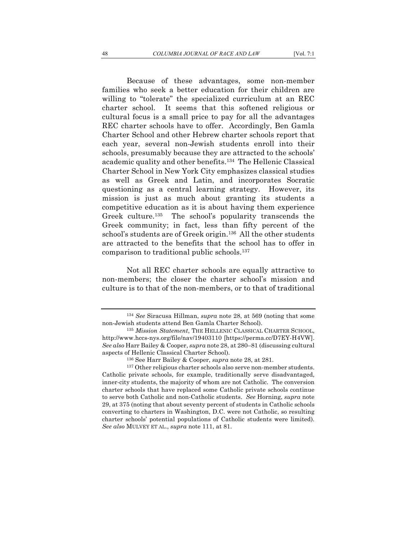Because of these advantages, some non-member families who seek a better education for their children are willing to "tolerate" the specialized curriculum at an REC charter school. It seems that this softened religious or cultural focus is a small price to pay for all the advantages REC charter schools have to offer. Accordingly, Ben Gamla Charter School and other Hebrew charter schools report that each year, several non-Jewish students enroll into their schools, presumably because they are attracted to the schools' academic quality and other benefits.134 The Hellenic Classical Charter School in New York City emphasizes classical studies as well as Greek and Latin, and incorporates Socratic questioning as a central learning strategy. However, its mission is just as much about granting its students a competitive education as it is about having them experience Greek culture.135 The school's popularity transcends the Greek community; in fact, less than fifty percent of the school's students are of Greek origin.<sup>136</sup> All the other students are attracted to the benefits that the school has to offer in comparison to traditional public schools.137

Not all REC charter schools are equally attractive to non-members; the closer the charter school's mission and culture is to that of the non-members, or to that of traditional

<sup>134</sup> *See* Siracusa Hillman, *supra* note 28, at 569 (noting that some non-Jewish students attend Ben Gamla Charter School). 135 *Mission Statement*, THE HELLENIC CLASSICAL CHARTER SCHOOL,

http://www.hccs-nys.org/file/nav/19403110 [https://perma.cc/D7EY-H4VW]. *See also* Harr Bailey & Cooper, *supra* note 28, at 280–81 (discussing cultural aspects of Hellenic Classical Charter School). 136 See Harr Bailey & Cooper, *supra* note 28, at 281.

<sup>137</sup> Other religious charter schools also serve non-member students. Catholic private schools, for example, traditionally serve disadvantaged, inner-city students, the majority of whom are not Catholic. The conversion charter schools that have replaced some Catholic private schools continue to serve both Catholic and non-Catholic students. *See* Horning, *supra* note 29, at 375 (noting that about seventy percent of students in Catholic schools converting to charters in Washington, D.C. were not Catholic, so resulting charter schools' potential populations of Catholic students were limited). *See also* MULVEY ET AL., *supra* note 111, at 81.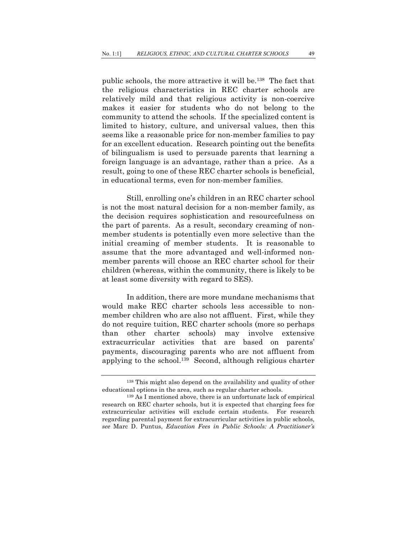public schools, the more attractive it will be.138 The fact that the religious characteristics in REC charter schools are relatively mild and that religious activity is non-coercive makes it easier for students who do not belong to the community to attend the schools. If the specialized content is limited to history, culture, and universal values, then this seems like a reasonable price for non-member families to pay for an excellent education. Research pointing out the benefits of bilingualism is used to persuade parents that learning a foreign language is an advantage, rather than a price. As a result, going to one of these REC charter schools is beneficial, in educational terms, even for non-member families.

Still, enrolling one's children in an REC charter school is not the most natural decision for a non-member family, as the decision requires sophistication and resourcefulness on the part of parents. As a result, secondary creaming of nonmember students is potentially even more selective than the initial creaming of member students. It is reasonable to assume that the more advantaged and well-informed nonmember parents will choose an REC charter school for their children (whereas, within the community, there is likely to be at least some diversity with regard to SES).

In addition, there are more mundane mechanisms that would make REC charter schools less accessible to nonmember children who are also not affluent. First, while they do not require tuition, REC charter schools (more so perhaps than other charter schools) may involve extensive extracurricular activities that are based on parents' payments, discouraging parents who are not affluent from applying to the school.139 Second, although religious charter

<sup>138</sup> This might also depend on the availability and quality of other educational options in the area, such as regular charter schools. 139 As I mentioned above, there is an unfortunate lack of empirical

research on REC charter schools, but it is expected that charging fees for extracurricular activities will exclude certain students. For research regarding parental payment for extracurricular activities in public schools, *see* Marc D. Puntus, *Education Fees in Public Schools: A Practitioner's*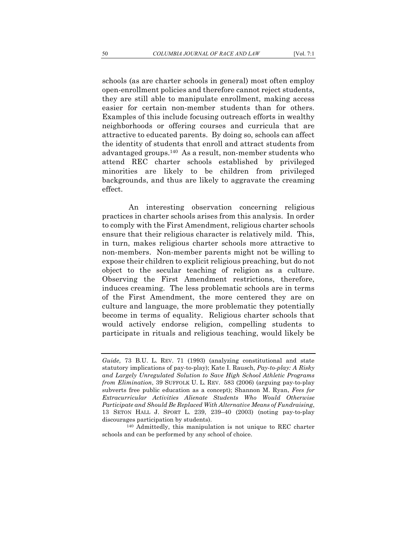schools (as are charter schools in general) most often employ open-enrollment policies and therefore cannot reject students, they are still able to manipulate enrollment, making access easier for certain non-member students than for others. Examples of this include focusing outreach efforts in wealthy neighborhoods or offering courses and curricula that are attractive to educated parents. By doing so, schools can affect the identity of students that enroll and attract students from advantaged groups.140 As a result, non-member students who attend REC charter schools established by privileged minorities are likely to be children from privileged backgrounds, and thus are likely to aggravate the creaming effect.

An interesting observation concerning religious practices in charter schools arises from this analysis. In order to comply with the First Amendment, religious charter schools ensure that their religious character is relatively mild. This, in turn, makes religious charter schools more attractive to non-members. Non-member parents might not be willing to expose their children to explicit religious preaching, but do not object to the secular teaching of religion as a culture. Observing the First Amendment restrictions, therefore, induces creaming. The less problematic schools are in terms of the First Amendment, the more centered they are on culture and language, the more problematic they potentially become in terms of equality. Religious charter schools that would actively endorse religion, compelling students to participate in rituals and religious teaching, would likely be

*Guide*, 73 B.U. L. REV. 71 (1993) (analyzing constitutional and state statutory implications of pay-to-play); Kate I. Rausch, *Pay-to-play: A Risky and Largely Unregulated Solution to Save High School Athletic Programs from Elimination*, 39 SUFFOLK U. L. REV. 583 (2006) (arguing pay-to-play subverts free public education as a concept); Shannon M. Ryan, *Fees for Extracurricular Activities Alienate Students Who Would Otherwise Participate and Should Be Replaced With Alternative Means of Fundraising*, 13 SETON HALL J. SPORT L. 239, 239–40 (2003) (noting pay-to-play discourages participation by students).<br><sup>140</sup> Admittedly, this manipulation is not unique to REC charter

schools and can be performed by any school of choice.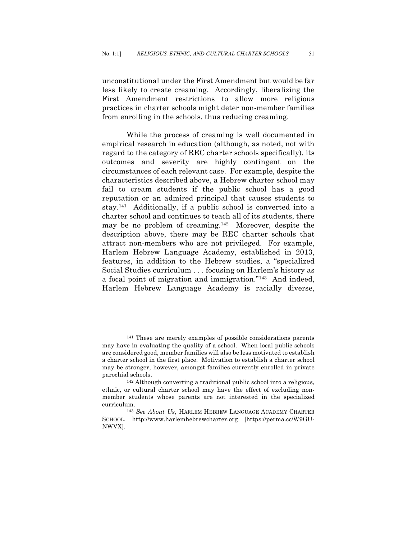unconstitutional under the First Amendment but would be far less likely to create creaming. Accordingly, liberalizing the First Amendment restrictions to allow more religious practices in charter schools might deter non-member families from enrolling in the schools, thus reducing creaming.

While the process of creaming is well documented in empirical research in education (although, as noted, not with regard to the category of REC charter schools specifically), its outcomes and severity are highly contingent on the circumstances of each relevant case. For example, despite the characteristics described above, a Hebrew charter school may fail to cream students if the public school has a good reputation or an admired principal that causes students to stay.141 Additionally, if a public school is converted into a charter school and continues to teach all of its students, there may be no problem of creaming.142 Moreover, despite the description above, there may be REC charter schools that attract non-members who are not privileged. For example, Harlem Hebrew Language Academy, established in 2013, features, in addition to the Hebrew studies, a "specialized Social Studies curriculum . . . focusing on Harlem's history as a focal point of migration and immigration."143 And indeed, Harlem Hebrew Language Academy is racially diverse,

<sup>141</sup> These are merely examples of possible considerations parents may have in evaluating the quality of a school. When local public schools are considered good, member families will also be less motivated to establish a charter school in the first place. Motivation to establish a charter school may be stronger, however, amongst families currently enrolled in private parochial schools.

<sup>142</sup> Although converting a traditional public school into a religious, ethnic, or cultural charter school may have the effect of excluding nonmember students whose parents are not interested in the specialized curriculum. 143 *See About Us*, HARLEM HEBREW LANGUAGE ACADEMY CHARTER

SCHOOL, http://www.harlemhebrewcharter.org [https://perma.cc/W9GU-NWVX].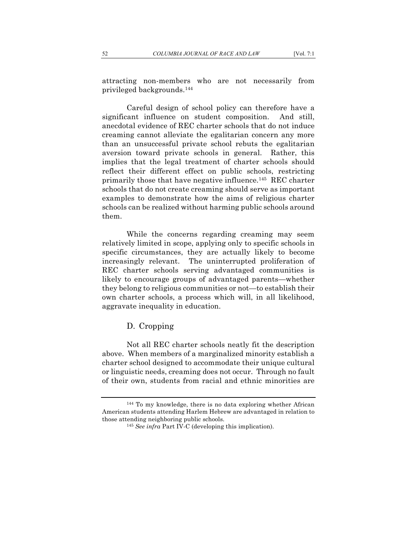attracting non-members who are not necessarily from privileged backgrounds.144

Careful design of school policy can therefore have a significant influence on student composition. And still, anecdotal evidence of REC charter schools that do not induce creaming cannot alleviate the egalitarian concern any more than an unsuccessful private school rebuts the egalitarian aversion toward private schools in general. Rather, this implies that the legal treatment of charter schools should reflect their different effect on public schools, restricting primarily those that have negative influence.145 REC charter schools that do not create creaming should serve as important examples to demonstrate how the aims of religious charter schools can be realized without harming public schools around them.

While the concerns regarding creaming may seem relatively limited in scope, applying only to specific schools in specific circumstances, they are actually likely to become increasingly relevant. The uninterrupted proliferation of REC charter schools serving advantaged communities is likely to encourage groups of advantaged parents—whether they belong to religious communities or not—to establish their own charter schools, a process which will, in all likelihood, aggravate inequality in education.

### D. Cropping

Not all REC charter schools neatly fit the description above. When members of a marginalized minority establish a charter school designed to accommodate their unique cultural or linguistic needs, creaming does not occur. Through no fault of their own, students from racial and ethnic minorities are

<sup>144</sup> To my knowledge, there is no data exploring whether African American students attending Harlem Hebrew are advantaged in relation to those attending neighboring public schools.

<sup>145</sup> *See infra* Part IV-C (developing this implication).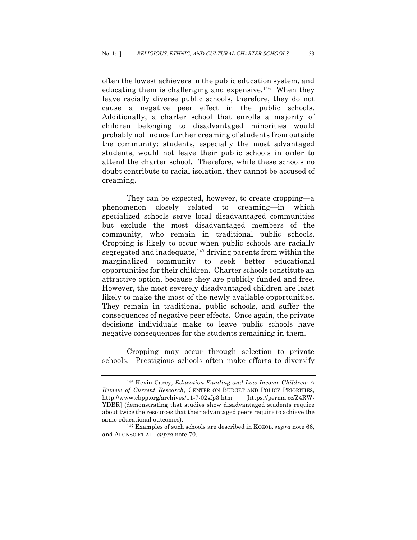often the lowest achievers in the public education system, and educating them is challenging and expensive.<sup>146</sup> When they leave racially diverse public schools, therefore, they do not cause a negative peer effect in the public schools. Additionally, a charter school that enrolls a majority of children belonging to disadvantaged minorities would probably not induce further creaming of students from outside the community: students, especially the most advantaged students, would not leave their public schools in order to attend the charter school. Therefore, while these schools no doubt contribute to racial isolation, they cannot be accused of creaming.

They can be expected, however, to create cropping—a phenomenon closely related to creaming—in which specialized schools serve local disadvantaged communities but exclude the most disadvantaged members of the community, who remain in traditional public schools. Cropping is likely to occur when public schools are racially segregated and inadequate,147 driving parents from within the marginalized community to seek better educational opportunities for their children. Charter schools constitute an attractive option, because they are publicly funded and free. However, the most severely disadvantaged children are least likely to make the most of the newly available opportunities. They remain in traditional public schools, and suffer the consequences of negative peer effects. Once again, the private decisions individuals make to leave public schools have negative consequences for the students remaining in them.

Cropping may occur through selection to private schools. Prestigious schools often make efforts to diversify

<sup>146</sup> Kevin Carey, *Education Funding and Low Income Children: A Review of Current Research*, CENTER ON BUDGET AND POLICY PRIORITIES, http://www.cbpp.org/archives/11-7-02sfp3.htm [https://perma.cc/Z4RW-YDBR] (demonstrating that studies show disadvantaged students require about twice the resources that their advantaged peers require to achieve the same educational outcomes).

<sup>147</sup> Examples of such schools are described in KOZOL, *supra* note 66, and ALONSO ET AL., *supra* note 70.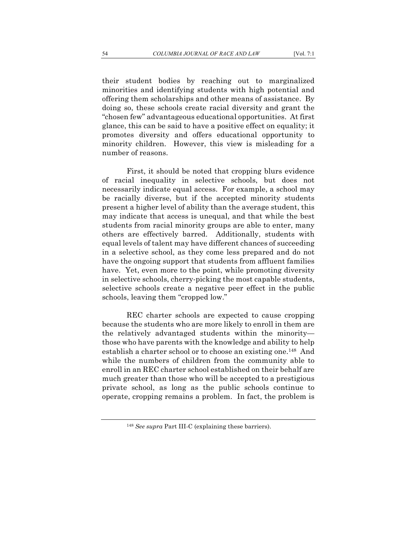their student bodies by reaching out to marginalized minorities and identifying students with high potential and offering them scholarships and other means of assistance. By doing so, these schools create racial diversity and grant the "chosen few" advantageous educational opportunities. At first glance, this can be said to have a positive effect on equality; it promotes diversity and offers educational opportunity to minority children. However, this view is misleading for a number of reasons.

First, it should be noted that cropping blurs evidence of racial inequality in selective schools, but does not necessarily indicate equal access. For example, a school may be racially diverse, but if the accepted minority students present a higher level of ability than the average student, this may indicate that access is unequal, and that while the best students from racial minority groups are able to enter, many others are effectively barred. Additionally, students with equal levels of talent may have different chances of succeeding in a selective school, as they come less prepared and do not have the ongoing support that students from affluent families have. Yet, even more to the point, while promoting diversity in selective schools, cherry-picking the most capable students, selective schools create a negative peer effect in the public schools, leaving them "cropped low."

REC charter schools are expected to cause cropping because the students who are more likely to enroll in them are the relatively advantaged students within the minority those who have parents with the knowledge and ability to help establish a charter school or to choose an existing one.148 And while the numbers of children from the community able to enroll in an REC charter school established on their behalf are much greater than those who will be accepted to a prestigious private school, as long as the public schools continue to operate, cropping remains a problem. In fact, the problem is

<sup>148</sup> *See supra* Part III-C (explaining these barriers).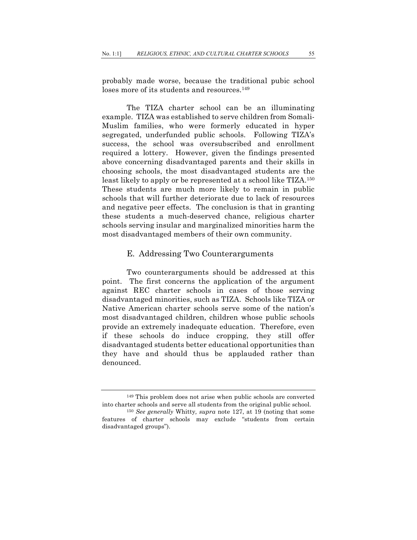probably made worse, because the traditional pubic school loses more of its students and resources.<sup>149</sup>

The TIZA charter school can be an illuminating example. TIZA was established to serve children from Somali-Muslim families, who were formerly educated in hyper segregated, underfunded public schools. Following TIZA's success, the school was oversubscribed and enrollment required a lottery. However, given the findings presented above concerning disadvantaged parents and their skills in choosing schools, the most disadvantaged students are the least likely to apply or be represented at a school like TIZA.150 These students are much more likely to remain in public schools that will further deteriorate due to lack of resources and negative peer effects. The conclusion is that in granting these students a much-deserved chance, religious charter schools serving insular and marginalized minorities harm the most disadvantaged members of their own community.

#### E. Addressing Two Counterarguments

Two counterarguments should be addressed at this point. The first concerns the application of the argument against REC charter schools in cases of those serving disadvantaged minorities, such as TIZA. Schools like TIZA or Native American charter schools serve some of the nation's most disadvantaged children, children whose public schools provide an extremely inadequate education. Therefore, even if these schools do induce cropping, they still offer disadvantaged students better educational opportunities than they have and should thus be applauded rather than denounced.

<sup>149</sup> This problem does not arise when public schools are converted into charter schools and serve all students from the original public school. 150 *See generally* Whitty*, supra* note 127, at 19 (noting that some

features of charter schools may exclude "students from certain disadvantaged groups").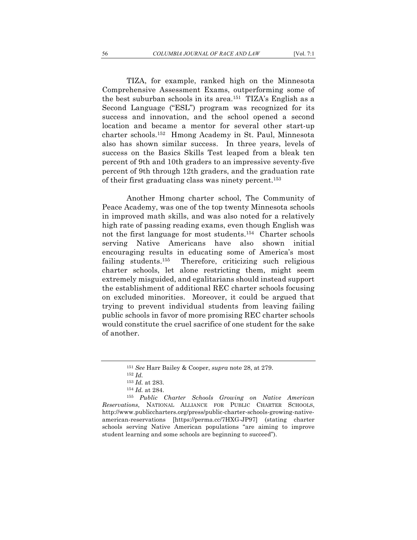TIZA, for example, ranked high on the Minnesota Comprehensive Assessment Exams, outperforming some of the best suburban schools in its area.151 TIZA's English as a Second Language ("ESL") program was recognized for its success and innovation, and the school opened a second location and became a mentor for several other start-up charter schools.152 Hmong Academy in St. Paul, Minnesota also has shown similar success. In three years, levels of success on the Basics Skills Test leaped from a bleak ten percent of 9th and 10th graders to an impressive seventy-five percent of 9th through 12th graders, and the graduation rate of their first graduating class was ninety percent.153

Another Hmong charter school, The Community of Peace Academy, was one of the top twenty Minnesota schools in improved math skills, and was also noted for a relatively high rate of passing reading exams, even though English was not the first language for most students.154 Charter schools serving Native Americans have also shown initial encouraging results in educating some of America's most failing students.155 Therefore, criticizing such religious charter schools, let alone restricting them, might seem extremely misguided, and egalitarians should instead support the establishment of additional REC charter schools focusing on excluded minorities. Moreover, it could be argued that trying to prevent individual students from leaving failing public schools in favor of more promising REC charter schools would constitute the cruel sacrifice of one student for the sake of another.

<sup>151</sup> *See* Harr Bailey & Cooper, *supra* note 28, at 279. 152 *Id.*<sup>153</sup> *Id.* at 283. 154 *Id.* at 284. 155 *Public Charter Schools Growing on Native American Reservations*, NATIONAL ALLIANCE FOR PUBLIC CHARTER SCHOOLS, http://www.publiccharters.org/press/public-charter-schools-growing-nativeamerican-reservations [https://perma.cc/7HXG-JP97] (stating charter schools serving Native American populations "are aiming to improve student learning and some schools are beginning to succeed").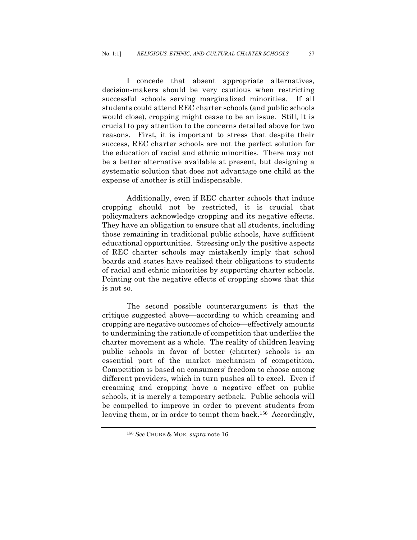I concede that absent appropriate alternatives, decision-makers should be very cautious when restricting successful schools serving marginalized minorities. If all students could attend REC charter schools (and public schools would close), cropping might cease to be an issue. Still, it is crucial to pay attention to the concerns detailed above for two reasons. First, it is important to stress that despite their success, REC charter schools are not the perfect solution for the education of racial and ethnic minorities. There may not be a better alternative available at present, but designing a systematic solution that does not advantage one child at the expense of another is still indispensable.

Additionally, even if REC charter schools that induce cropping should not be restricted, it is crucial that policymakers acknowledge cropping and its negative effects. They have an obligation to ensure that all students, including those remaining in traditional public schools, have sufficient educational opportunities. Stressing only the positive aspects of REC charter schools may mistakenly imply that school boards and states have realized their obligations to students of racial and ethnic minorities by supporting charter schools. Pointing out the negative effects of cropping shows that this is not so.

The second possible counterargument is that the critique suggested above—according to which creaming and cropping are negative outcomes of choice—effectively amounts to undermining the rationale of competition that underlies the charter movement as a whole. The reality of children leaving public schools in favor of better (charter) schools is an essential part of the market mechanism of competition. Competition is based on consumers' freedom to choose among different providers, which in turn pushes all to excel. Even if creaming and cropping have a negative effect on public schools, it is merely a temporary setback. Public schools will be compelled to improve in order to prevent students from leaving them, or in order to tempt them back.<sup>156</sup> Accordingly,

<sup>156</sup> *See* CHUBB & MOE, *supra* note 16.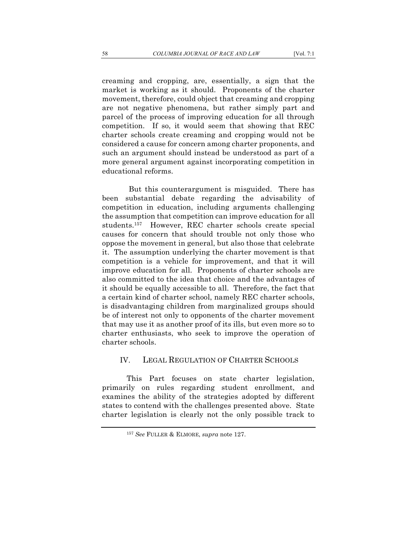creaming and cropping, are, essentially, a sign that the market is working as it should. Proponents of the charter movement, therefore, could object that creaming and cropping are not negative phenomena, but rather simply part and parcel of the process of improving education for all through competition. If so, it would seem that showing that REC charter schools create creaming and cropping would not be considered a cause for concern among charter proponents, and such an argument should instead be understood as part of a more general argument against incorporating competition in educational reforms.

But this counterargument is misguided. There has been substantial debate regarding the advisability of competition in education, including arguments challenging the assumption that competition can improve education for all students.157 However, REC charter schools create special causes for concern that should trouble not only those who oppose the movement in general, but also those that celebrate it. The assumption underlying the charter movement is that competition is a vehicle for improvement, and that it will improve education for all. Proponents of charter schools are also committed to the idea that choice and the advantages of it should be equally accessible to all. Therefore, the fact that a certain kind of charter school, namely REC charter schools, is disadvantaging children from marginalized groups should be of interest not only to opponents of the charter movement that may use it as another proof of its ills, but even more so to charter enthusiasts, who seek to improve the operation of charter schools.

### IV. LEGAL REGULATION OF CHARTER SCHOOLS

This Part focuses on state charter legislation, primarily on rules regarding student enrollment, and examines the ability of the strategies adopted by different states to contend with the challenges presented above. State charter legislation is clearly not the only possible track to

<sup>157</sup> *See* FULLER & ELMORE, *supra* note 127.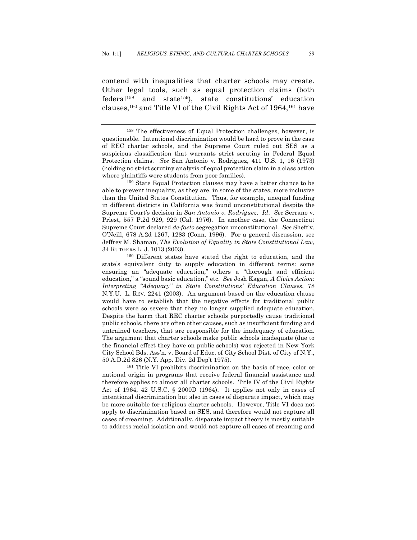contend with inequalities that charter schools may create. Other legal tools, such as equal protection claims (both  $federal<sup>158</sup>$  and state<sup>159</sup>), state constitutions' education clauses,160 and Title VI of the Civil Rights Act of 1964,161 have

able to prevent inequality, as they are, in some of the states, more inclusive than the United States Constitution. Thus, for example, unequal funding in different districts in California was found unconstitutional despite the Supreme Court's decision in *San Antonio v. Rodriguez*. *Id*. *See* Serrano v. Priest, 557 P.2d 929, 929 (Cal. 1976). In another case, the Connecticut Supreme Court declared *de-facto* segregation unconstitutional. *See* Sheff v. O'Neill, 678 A.2d 1267, 1283 (Conn. 1996). For a general discussion, see Jeffrey M. Shaman, *The Evolution of Equality in State Constitutional Law*, 34 RUTGERS L. J. 1013 (2003).

<sup>160</sup> Different states have stated the right to education, and the state's equivalent duty to supply education in different terms: some ensuring an "adequate education," others a "thorough and efficient education," a "sound basic education," etc. *See* Josh Kagan, *A Civics Action: Interpreting "Adequacy" in State Constitutions' Education Clauses*, 78 N.Y.U. L. REV. 2241 (2003). An argument based on the education clause would have to establish that the negative effects for traditional public schools were so severe that they no longer supplied adequate education. Despite the harm that REC charter schools purportedly cause traditional public schools, there are often other causes, such as insufficient funding and untrained teachers, that are responsible for the inadequacy of education. The argument that charter schools make public schools inadequate (due to the financial effect they have on public schools) was rejected in New York City School Bds. Ass'n. v. Board of Educ. of City School Dist. of City of N.Y., 50 A.D.2d 826 (N.Y. App. Div. 2d Dep't 1975).

<sup>161</sup> Title VI prohibits discrimination on the basis of race, color or national origin in programs that receive federal financial assistance and therefore applies to almost all charter schools. Title IV of the Civil Rights Act of 1964, 42 U.S.C. § 2000D (1964). It applies not only in cases of intentional discrimination but also in cases of disparate impact, which may be more suitable for religious charter schools. However, Title VI does not apply to discrimination based on SES, and therefore would not capture all cases of creaming. Additionally, disparate impact theory is mostly suitable to address racial isolation and would not capture all cases of creaming and

<sup>158</sup> The effectiveness of Equal Protection challenges, however, is questionable. Intentional discrimination would be hard to prove in the case of REC charter schools, and the Supreme Court ruled out SES as a suspicious classification that warrants strict scrutiny in Federal Equal Protection claims. *See* San Antonio v. Rodriguez, 411 U.S. 1, 16 (1973) (holding no strict scrutiny analysis of equal protection claim in a class action where plaintiffs were students from poor families).<br><sup>159</sup> State Equal Protection clauses may have a better chance to be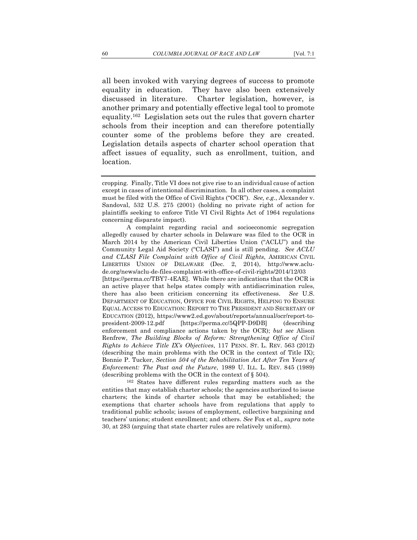all been invoked with varying degrees of success to promote equality in education. They have also been extensively discussed in literature. Charter legislation, however, is

another primary and potentially effective legal tool to promote equality.162 Legislation sets out the rules that govern charter schools from their inception and can therefore potentially counter some of the problems before they are created. Legislation details aspects of charter school operation that affect issues of equality, such as enrollment, tuition, and location.

<sup>162</sup> States have different rules regarding matters such as the entities that may establish charter schools; the agencies authorized to issue charters; the kinds of charter schools that may be established; the exemptions that charter schools have from regulations that apply to traditional public schools; issues of employment, collective bargaining and teachers' unions; student enrollment; and others. *See* Fox et al., *supra* note 30, at 283 (arguing that state charter rules are relatively uniform).

cropping. Finally, Title VI does not give rise to an individual cause of action except in cases of intentional discrimination. In all other cases, a complaint must be filed with the Office of Civil Rights ("OCR"). *See, e.g.*, Alexander v. Sandoval, 532 U.S. 275 (2001) (holding no private right of action for plaintiffs seeking to enforce Title VI Civil Rights Act of 1964 regulations concerning disparate impact).

A complaint regarding racial and socioeconomic segregation allegedly caused by charter schools in Delaware was filed to the OCR in March 2014 by the American Civil Liberties Union ("ACLU") and the Community Legal Aid Society ("CLASI") and is still pending. *See ACLU and CLASI File Complaint with Office of Civil Rights*, AMERICAN CIVIL LIBERTIES UNION OF DELAWARE (Dec. 2, 2014), http://www.aclude.org/news/aclu-de-files-complaint-with-office-of-civil-rights/2014/12/03 [https://perma.cc/TBY7-4EAE]. While there are indications that the OCR is an active player that helps states comply with antidiscrimination rules, there has also been criticism concerning its effectiveness. *See* U.S. DEPARTMENT OF EDUCATION, OFFICE FOR CIVIL RIGHTS, HELPING TO ENSURE EQUAL ACCESS TO EDUCATION: REPORT TO THE PRESIDENT AND SECRETARY OF EDUCATION (2012), https://www2.ed.gov/about/reports/annual/ocr/report-topresident-2009-12.pdf [https://perma.cc/5QPP-D9DB] (describing enforcement and compliance actions taken by the OCR); *but see* Alison Renfrew, *The Building Blocks of Reform: Strengthening Office of Civil Rights to Achieve Title IX's Objectives*, 117 PENN. ST. L. REV. 563 (2012) (describing the main problems with the OCR in the context of Title IX); Bonnie P. Tucker, *Section 504 of the Rehabilitation Act After Ten Years of Enforcement: The Past and the Future*, 1989 U. ILL. L. REV. 845 (1989) (describing problems with the OCR in the context of § 504).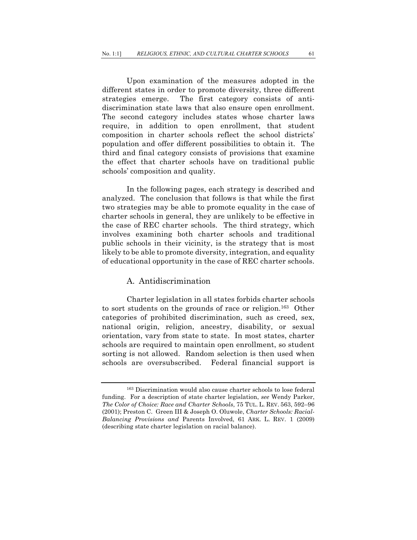Upon examination of the measures adopted in the different states in order to promote diversity, three different strategies emerge. The first category consists of antidiscrimination state laws that also ensure open enrollment. The second category includes states whose charter laws require, in addition to open enrollment, that student composition in charter schools reflect the school districts' population and offer different possibilities to obtain it. The third and final category consists of provisions that examine the effect that charter schools have on traditional public schools' composition and quality.

In the following pages, each strategy is described and analyzed. The conclusion that follows is that while the first two strategies may be able to promote equality in the case of charter schools in general, they are unlikely to be effective in the case of REC charter schools. The third strategy, which involves examining both charter schools and traditional public schools in their vicinity, is the strategy that is most likely to be able to promote diversity, integration, and equality of educational opportunity in the case of REC charter schools.

### A. Antidiscrimination

Charter legislation in all states forbids charter schools to sort students on the grounds of race or religion.163 Other categories of prohibited discrimination, such as creed, sex, national origin, religion, ancestry, disability, or sexual orientation, vary from state to state. In most states, charter schools are required to maintain open enrollment, so student sorting is not allowed. Random selection is then used when schools are oversubscribed. Federal financial support is

<sup>163</sup> Discrimination would also cause charter schools to lose federal funding. For a description of state charter legislation, *see* Wendy Parker, *The Color of Choice: Race and Charter Schools*, 75 TUL. L. REV. 563, 592–96 (2001); Preston C. Green III & Joseph O. Oluwole, *Charter Schools: Racial-Balancing Provisions and* Parents Involved, 61 ARK. L. REV. 1 (2009) (describing state charter legislation on racial balance).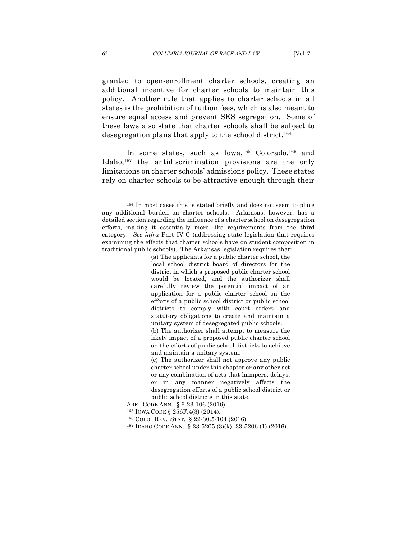granted to open-enrollment charter schools, creating an additional incentive for charter schools to maintain this policy. Another rule that applies to charter schools in all states is the prohibition of tuition fees, which is also meant to ensure equal access and prevent SES segregation. Some of these laws also state that charter schools shall be subject to desegregation plans that apply to the school district.<sup>164</sup>

In some states, such as Iowa,<sup>165</sup> Colorado,<sup>166</sup> and Idaho,167 the antidiscrimination provisions are the only limitations on charter schools' admissions policy. These states rely on charter schools to be attractive enough through their

(a) The applicants for a public charter school, the local school district board of directors for the district in which a proposed public charter school would be located, and the authorizer shall carefully review the potential impact of an application for a public charter school on the efforts of a public school district or public school districts to comply with court orders and statutory obligations to create and maintain a unitary system of desegregated public schools.

(b) The authorizer shall attempt to measure the likely impact of a proposed public charter school on the efforts of public school districts to achieve and maintain a unitary system.

(c) The authorizer shall not approve any public charter school under this chapter or any other act or any combination of acts that hampers, delays, or in any manner negatively affects the desegregation efforts of a public school district or public school districts in this state.

ARK. CODE ANN. § 6-23-106 (2016).

<sup>165</sup> IOWA CODE § 256F.4(3) (2014).

<sup>166</sup> COLO. REV. STAT. § 22-30.5-104 (2016).

<sup>167</sup> IDAHO CODE ANN. § 33-5205 (3)(k); 33-5206 (1) (2016).

<sup>164</sup> In most cases this is stated briefly and does not seem to place any additional burden on charter schools. Arkansas, however, has a detailed section regarding the influence of a charter school on desegregation efforts, making it essentially more like requirements from the third category. *See infra* Part IV-C (addressing state legislation that requires examining the effects that charter schools have on student composition in traditional public schools). The Arkansas legislation requires that: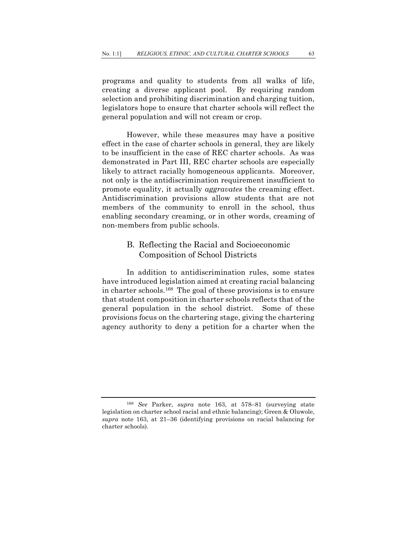programs and quality to students from all walks of life, creating a diverse applicant pool. By requiring random selection and prohibiting discrimination and charging tuition, legislators hope to ensure that charter schools will reflect the general population and will not cream or crop.

However, while these measures may have a positive effect in the case of charter schools in general, they are likely to be insufficient in the case of REC charter schools. As was demonstrated in Part III, REC charter schools are especially likely to attract racially homogeneous applicants. Moreover, not only is the antidiscrimination requirement insufficient to promote equality, it actually *aggravates* the creaming effect. Antidiscrimination provisions allow students that are not members of the community to enroll in the school, thus enabling secondary creaming, or in other words, creaming of non-members from public schools.

# B. Reflecting the Racial and Socioeconomic Composition of School Districts

In addition to antidiscrimination rules, some states have introduced legislation aimed at creating racial balancing in charter schools.168 The goal of these provisions is to ensure that student composition in charter schools reflects that of the general population in the school district. Some of these provisions focus on the chartering stage, giving the chartering agency authority to deny a petition for a charter when the

<sup>168</sup> *See* Parker, *supra* note 163, at 578–81 (surveying state legislation on charter school racial and ethnic balancing); Green & Oluwole, *supra* note 163, at 21–36 (identifying provisions on racial balancing for charter schools).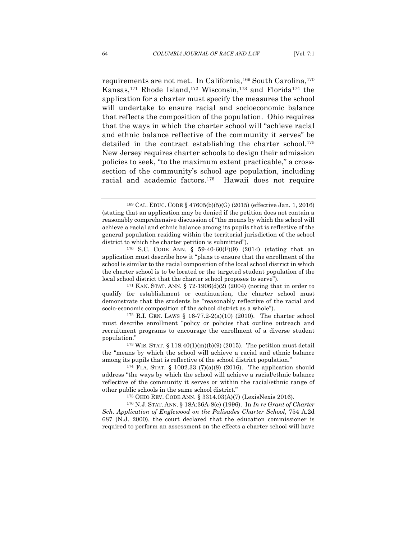requirements are not met. In California,<sup>169</sup> South Carolina,<sup>170</sup> Kansas,171 Rhode Island,172 Wisconsin,173 and Florida174 the application for a charter must specify the measures the school will undertake to ensure racial and socioeconomic balance that reflects the composition of the population. Ohio requires that the ways in which the charter school will "achieve racial and ethnic balance reflective of the community it serves" be detailed in the contract establishing the charter school.<sup>175</sup> New Jersey requires charter schools to design their admission policies to seek, "to the maximum extent practicable," a crosssection of the community's school age population, including racial and academic factors.176 Hawaii does not require

must describe enrollment "policy or policies that outline outreach and recruitment programs to encourage the enrollment of a diverse student population."<br> $173$  WIS. STAT. § 118.40(1)(m)(b)(9) (2015). The petition must detail

<sup>169</sup> CAL. EDUC. CODE § 47605(b)(5)(G) (2015) (effective Jan. 1, 2016) (stating that an application may be denied if the petition does not contain a reasonably comprehensive discussion of "the means by which the school will achieve a racial and ethnic balance among its pupils that is reflective of the general population residing within the territorial jurisdiction of the school district to which the charter petition is submitted").<br><sup>170</sup> S.C. CODE ANN. § 59-40-60(F)(9) (2014) (stating that an

application must describe how it "plans to ensure that the enrollment of the school is similar to the racial composition of the local school district in which the charter school is to be located or the targeted student population of the local school district that the charter school proposes to serve").

<sup>&</sup>lt;sup>171</sup> KAN. STAT. ANN. § 72-1906(d)(2) (2004) (noting that in order to qualify for establishment or continuation, the charter school must demonstrate that the students be "reasonably reflective of the racial and socio-economic composition of the school district as a whole").  $172$  R.I. GEN. LAWS § 16-77.2-2(a)(10) (2010). The charter school

the "means by which the school will achieve a racial and ethnic balance among its pupils that is reflective of the school district population."

<sup>174</sup> FLA. STAT. § 1002.33 (7)(a)(8) (2016). The application should address "the ways by which the school will achieve a racial/ethnic balance reflective of the community it serves or within the racial/ethnic range of other public schools in the same school district."

<sup>175</sup> OHIO REV. CODE ANN. § 3314.03(A)(7) (LexisNexis 2016).

<sup>176</sup> N.J. STAT. ANN. § 18A:36A-8(e) (1996). In *In re Grant of Charter Sch. Application of Englewood on the Palisades Charter School*, 754 A.2d 687 (N.J. 2000), the court declared that the education commissioner is required to perform an assessment on the effects a charter school will have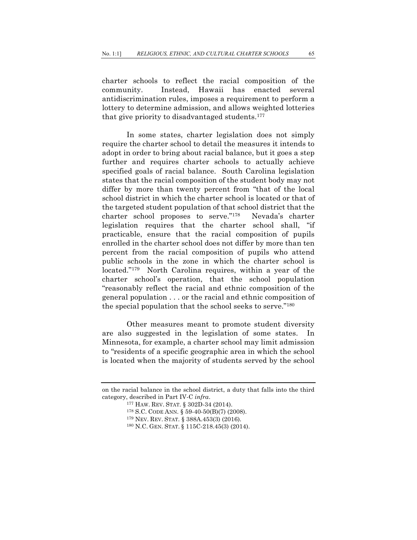charter schools to reflect the racial composition of the community. Instead, Hawaii has enacted several antidiscrimination rules, imposes a requirement to perform a lottery to determine admission, and allows weighted lotteries that give priority to disadvantaged students.177

In some states, charter legislation does not simply require the charter school to detail the measures it intends to adopt in order to bring about racial balance, but it goes a step further and requires charter schools to actually achieve specified goals of racial balance. South Carolina legislation states that the racial composition of the student body may not differ by more than twenty percent from "that of the local school district in which the charter school is located or that of the targeted student population of that school district that the charter school proposes to serve."178 Nevada's charter legislation requires that the charter school shall, "if practicable, ensure that the racial composition of pupils enrolled in the charter school does not differ by more than ten percent from the racial composition of pupils who attend public schools in the zone in which the charter school is located."179 North Carolina requires, within a year of the charter school's operation, that the school population "reasonably reflect the racial and ethnic composition of the general population . . . or the racial and ethnic composition of the special population that the school seeks to serve."180

Other measures meant to promote student diversity are also suggested in the legislation of some states. In Minnesota, for example, a charter school may limit admission to "residents of a specific geographic area in which the school is located when the majority of students served by the school

<sup>179</sup> NEV. REV. STAT. § 388A.453(3) (2016).

on the racial balance in the school district, a duty that falls into the third category, described in Part IV-C *infra*. 177 HAW. REV. STAT. § 302D-34 (2014).

<sup>178</sup> S.C. CODE ANN. § 59-40-50(B)(7) (2008).

<sup>180</sup> N.C. GEN. STAT. § 115C-218.45(3) (2014).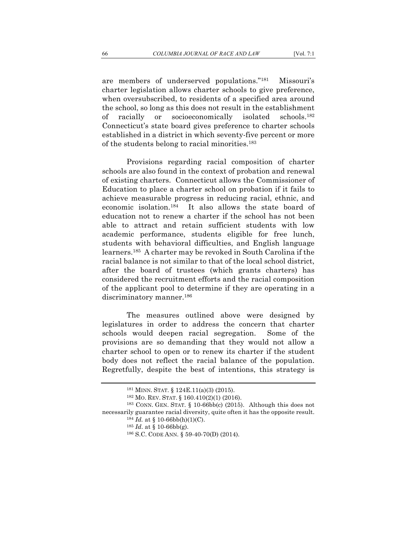are members of underserved populations."181 Missouri's charter legislation allows charter schools to give preference, when oversubscribed, to residents of a specified area around the school, so long as this does not result in the establishment of racially or socioeconomically isolated schools.182 Connecticut's state board gives preference to charter schools established in a district in which seventy-five percent or more of the students belong to racial minorities.183

Provisions regarding racial composition of charter schools are also found in the context of probation and renewal of existing charters. Connecticut allows the Commissioner of Education to place a charter school on probation if it fails to achieve measurable progress in reducing racial, ethnic, and economic isolation.184 It also allows the state board of education not to renew a charter if the school has not been able to attract and retain sufficient students with low academic performance, students eligible for free lunch, students with behavioral difficulties, and English language learners.185 A charter may be revoked in South Carolina if the racial balance is not similar to that of the local school district, after the board of trustees (which grants charters) has considered the recruitment efforts and the racial composition of the applicant pool to determine if they are operating in a discriminatory manner.<sup>186</sup>

The measures outlined above were designed by legislatures in order to address the concern that charter schools would deepen racial segregation. Some of the provisions are so demanding that they would not allow a charter school to open or to renew its charter if the student body does not reflect the racial balance of the population. Regretfully, despite the best of intentions, this strategy is

<sup>181</sup> MINN. STAT. § 124E.11(a)(3) (2015).

<sup>182</sup> MO. REV. STAT. § 160.410(2)(1) (2016).

<sup>183</sup> CONN. GEN. STAT. § 10-66bb(c) (2015). Although this does not necessarily guarantee racial diversity, quite often it has the opposite result.<br><sup>184</sup> *Id.* at § 10-66bb(h)(1)(C).<br><sup>185</sup> *Id.* at § 10-66bb(g).<br><sup>186</sup> S.C. CODE ANN. § 59-40-70(D) (2014).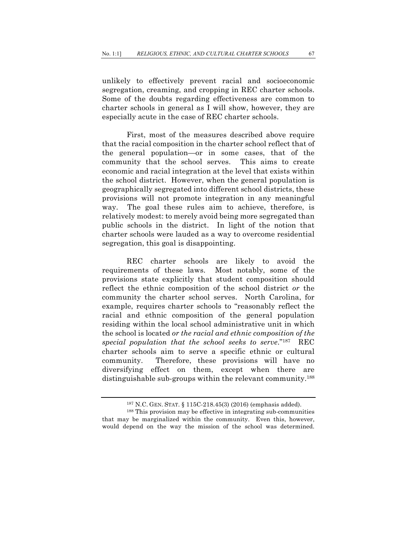unlikely to effectively prevent racial and socioeconomic segregation, creaming, and cropping in REC charter schools. Some of the doubts regarding effectiveness are common to charter schools in general as I will show, however, they are especially acute in the case of REC charter schools.

First, most of the measures described above require that the racial composition in the charter school reflect that of the general population—or in some cases, that of the community that the school serves. This aims to create economic and racial integration at the level that exists within the school district. However, when the general population is geographically segregated into different school districts, these provisions will not promote integration in any meaningful way. The goal these rules aim to achieve, therefore, is relatively modest: to merely avoid being more segregated than public schools in the district. In light of the notion that charter schools were lauded as a way to overcome residential segregation, this goal is disappointing.

REC charter schools are likely to avoid the requirements of these laws. Most notably, some of the provisions state explicitly that student composition should reflect the ethnic composition of the school district *or* the community the charter school serves. North Carolina, for example, requires charter schools to "reasonably reflect the racial and ethnic composition of the general population residing within the local school administrative unit in which the school is located *or the racial and ethnic composition of the special population that the school seeks to serve*."187 REC charter schools aim to serve a specific ethnic or cultural community. Therefore, these provisions will have no diversifying effect on them, except when there are distinguishable sub-groups within the relevant community.188

<sup>187</sup> N.C. GEN. STAT. § 115C-218.45(3) (2016) (emphasis added). 188 This provision may be effective in integrating sub-communities that may be marginalized within the community. Even this, however, would depend on the way the mission of the school was determined.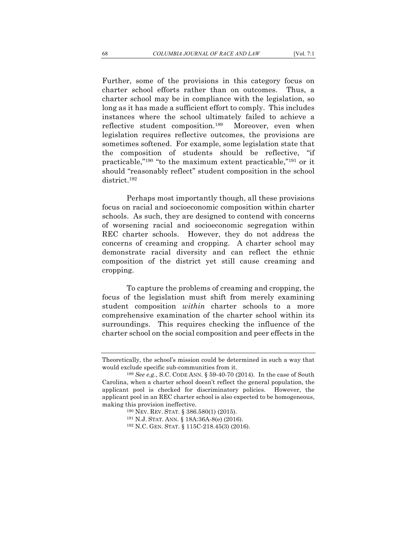Further, some of the provisions in this category focus on charter school efforts rather than on outcomes. Thus, a charter school may be in compliance with the legislation, so long as it has made a sufficient effort to comply. This includes instances where the school ultimately failed to achieve a reflective student composition.189 Moreover, even when legislation requires reflective outcomes, the provisions are sometimes softened. For example, some legislation state that the composition of students should be reflective, "if practicable,"190 "to the maximum extent practicable,"191 or it should "reasonably reflect" student composition in the school district.192

Perhaps most importantly though, all these provisions focus on racial and socioeconomic composition within charter schools. As such, they are designed to contend with concerns of worsening racial and socioeconomic segregation within REC charter schools. However, they do not address the concerns of creaming and cropping. A charter school may demonstrate racial diversity and can reflect the ethnic composition of the district yet still cause creaming and cropping.

To capture the problems of creaming and cropping, the focus of the legislation must shift from merely examining student composition *within* charter schools to a more comprehensive examination of the charter school within its surroundings. This requires checking the influence of the charter school on the social composition and peer effects in the

Theoretically, the school's mission could be determined in such a way that would exclude specific sub-communities from it. 189 *See e.g.*, S.C. CODE ANN. § 59-40-70 (2014). In the case of South

Carolina, when a charter school doesn't reflect the general population, the applicant pool is checked for discriminatory policies. However, the applicant pool in an REC charter school is also expected to be homogeneous, making this provision ineffective.<br><sup>190</sup> NEV. REV. STAT. § 386.580(1) (2015).

<sup>191</sup> N.J. STAT. ANN. § 18A:36A-8(e) (2016). 192 N.C. GEN. STAT. § 115C-218.45(3) (2016).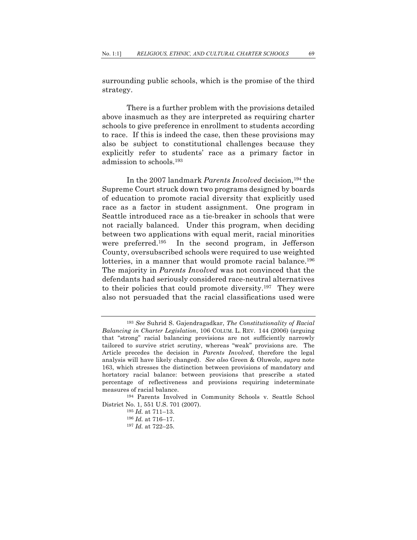surrounding public schools, which is the promise of the third strategy.

There is a further problem with the provisions detailed above inasmuch as they are interpreted as requiring charter schools to give preference in enrollment to students according to race. If this is indeed the case, then these provisions may also be subject to constitutional challenges because they explicitly refer to students' race as a primary factor in admission to schools.193

In the 2007 landmark *Parents Involved* decision,194 the Supreme Court struck down two programs designed by boards of education to promote racial diversity that explicitly used race as a factor in student assignment. One program in Seattle introduced race as a tie-breaker in schools that were not racially balanced. Under this program, when deciding between two applications with equal merit, racial minorities were preferred.195 In the second program, in Jefferson County, oversubscribed schools were required to use weighted lotteries, in a manner that would promote racial balance.<sup>196</sup> The majority in *Parents Involved* was not convinced that the defendants had seriously considered race-neutral alternatives to their policies that could promote diversity.197 They were also not persuaded that the racial classifications used were

District No. 1, 551 U.S. 701 (2007). 195 *Id.* at 711–13.

- <sup>196</sup> *Id.* at 716–17.
- <sup>197</sup> *Id.* at 722–25.

<sup>193</sup> *See* Suhrid S. Gajendragadkar, *The Constitutionality of Racial Balancing in Charter Legislation*, 106 COLUM. L. REV. 144 (2006) (arguing that "strong" racial balancing provisions are not sufficiently narrowly tailored to survive strict scrutiny, whereas "weak" provisions are. The Article precedes the decision in *Parents Involved*, therefore the legal analysis will have likely changed). *See also* Green & Oluwole, *supra* note 163, which stresses the distinction between provisions of mandatory and hortatory racial balance: between provisions that prescribe a stated percentage of reflectiveness and provisions requiring indeterminate measures of racial balance. 194 Parents Involved in Community Schools v. Seattle School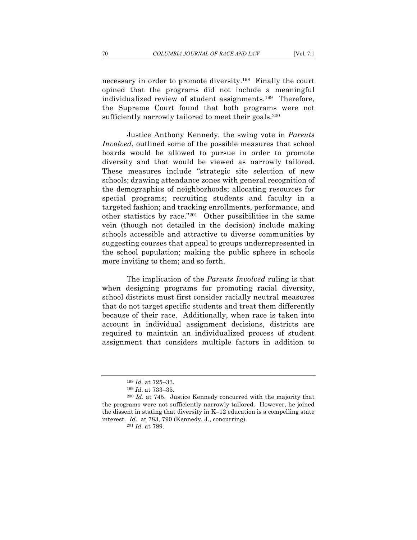necessary in order to promote diversity.198 Finally the court opined that the programs did not include a meaningful individualized review of student assignments.199 Therefore, the Supreme Court found that both programs were not sufficiently narrowly tailored to meet their goals.<sup>200</sup>

Justice Anthony Kennedy, the swing vote in *Parents Involved*, outlined some of the possible measures that school boards would be allowed to pursue in order to promote diversity and that would be viewed as narrowly tailored. These measures include "strategic site selection of new schools; drawing attendance zones with general recognition of the demographics of neighborhoods; allocating resources for special programs; recruiting students and faculty in a targeted fashion; and tracking enrollments, performance, and other statistics by race."201 Other possibilities in the same vein (though not detailed in the decision) include making schools accessible and attractive to diverse communities by suggesting courses that appeal to groups underrepresented in the school population; making the public sphere in schools more inviting to them; and so forth.

The implication of the *Parents Involved* ruling is that when designing programs for promoting racial diversity, school districts must first consider racially neutral measures that do not target specific students and treat them differently because of their race. Additionally, when race is taken into account in individual assignment decisions, districts are required to maintain an individualized process of student assignment that considers multiple factors in addition to

<sup>198</sup> *Id.* at 725–33.

<sup>199</sup> *Id*. at 733–35.

<sup>200</sup> *Id*. at 745. Justice Kennedy concurred with the majority that the programs were not sufficiently narrowly tailored. However, he joined the dissent in stating that diversity in K–12 education is a compelling state interest. *Id.* at 783, 790 (Kennedy, J., concurring). 201 *Id*. at 789.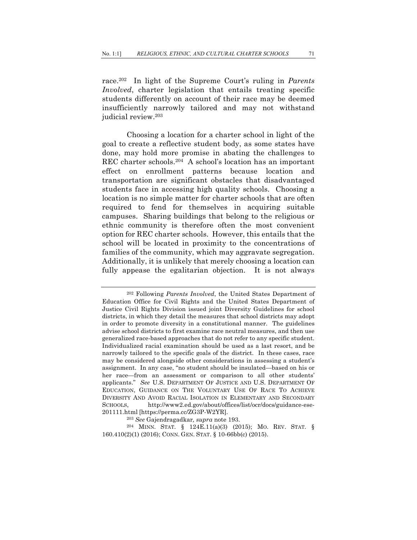race.202 In light of the Supreme Court's ruling in *Parents Involved*, charter legislation that entails treating specific students differently on account of their race may be deemed insufficiently narrowly tailored and may not withstand judicial review.203

Choosing a location for a charter school in light of the goal to create a reflective student body, as some states have done, may hold more promise in abating the challenges to REC charter schools.204 A school's location has an important effect on enrollment patterns because location and transportation are significant obstacles that disadvantaged students face in accessing high quality schools. Choosing a location is no simple matter for charter schools that are often required to fend for themselves in acquiring suitable campuses. Sharing buildings that belong to the religious or ethnic community is therefore often the most convenient option for REC charter schools. However, this entails that the school will be located in proximity to the concentrations of families of the community, which may aggravate segregation. Additionally, it is unlikely that merely choosing a location can fully appease the egalitarian objection. It is not always

<sup>202</sup> Following *Parents Involved*, the United States Department of Education Office for Civil Rights and the United States Department of Justice Civil Rights Division issued joint Diversity Guidelines for school districts, in which they detail the measures that school districts may adopt in order to promote diversity in a constitutional manner. The guidelines advise school districts to first examine race neutral measures, and then use generalized race-based approaches that do not refer to any specific student. Individualized racial examination should be used as a last resort, and be narrowly tailored to the specific goals of the district. In these cases, race may be considered alongside other considerations in assessing a student's assignment. In any case, "no student should be insulated—based on his or her race—from an assessment or comparison to all other students' applicants." *See* U.S. DEPARTMENT OF JUSTICE AND U.S. DEPARTMENT OF EDUCATION, GUIDANCE ON THE VOLUNTARY USE OF RACE TO ACHIEVE DIVERSITY AND AVOID RACIAL ISOLATION IN ELEMENTARY AND SECONDARY SCHOOLS, http://www2.ed.gov/about/offices/list/ocr/docs/guidance-ese-201111.html [https://perma.cc/ZG3P-W2YR].

<sup>203</sup> *See* Gajendragadkar*, supra* note 193. 204 MINN. STAT. § 124E.11(a)(3) (2015); MO. REV. STAT. § 160.410(2)(1) (2016); CONN. GEN. STAT. § 10-66bb(c) (2015).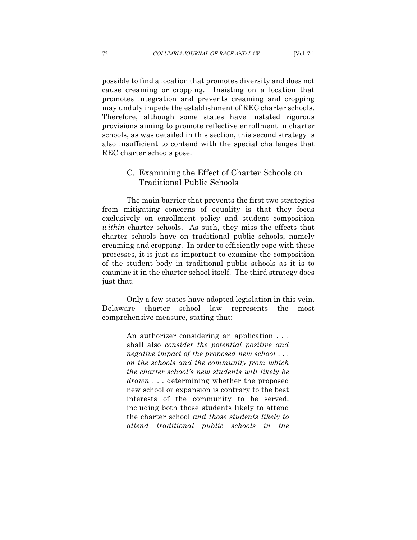possible to find a location that promotes diversity and does not cause creaming or cropping. Insisting on a location that promotes integration and prevents creaming and cropping may unduly impede the establishment of REC charter schools. Therefore, although some states have instated rigorous provisions aiming to promote reflective enrollment in charter schools, as was detailed in this section, this second strategy is also insufficient to contend with the special challenges that REC charter schools pose.

## C. Examining the Effect of Charter Schools on Traditional Public Schools

The main barrier that prevents the first two strategies from mitigating concerns of equality is that they focus exclusively on enrollment policy and student composition *within* charter schools. As such, they miss the effects that charter schools have on traditional public schools, namely creaming and cropping. In order to efficiently cope with these processes, it is just as important to examine the composition of the student body in traditional public schools as it is to examine it in the charter school itself. The third strategy does just that.

Only a few states have adopted legislation in this vein. Delaware charter school law represents the most comprehensive measure, stating that:

> An authorizer considering an application . . . shall also *consider the potential positive and negative impact of the proposed new school* . . . *on the schools and the community from which the charter school's new students will likely be drawn* . . . determining whether the proposed new school or expansion is contrary to the best interests of the community to be served, including both those students likely to attend the charter school *and those students likely to attend traditional public schools in the*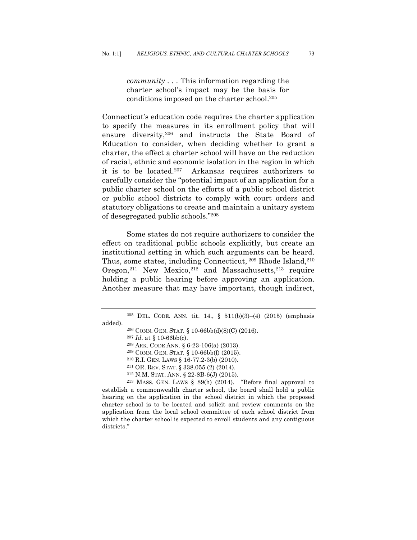*community . . .* This information regarding the charter school's impact may be the basis for conditions imposed on the charter school.205

Connecticut's education code requires the charter application to specify the measures in its enrollment policy that will ensure diversity,206 and instructs the State Board of Education to consider, when deciding whether to grant a charter, the effect a charter school will have on the reduction of racial, ethnic and economic isolation in the region in which it is to be located.207 Arkansas requires authorizers to carefully consider the "potential impact of an application for a public charter school on the efforts of a public school district or public school districts to comply with court orders and statutory obligations to create and maintain a unitary system of desegregated public schools."208

Some states do not require authorizers to consider the effect on traditional public schools explicitly, but create an institutional setting in which such arguments can be heard. Thus, some states, including Connecticut, <sup>209</sup> Rhode Island, <sup>210</sup> Oregon,<sup>211</sup> New Mexico,<sup>212</sup> and Massachusetts,<sup>213</sup> require holding a public hearing before approving an application. Another measure that may have important, though indirect,

- 
- 

<sup>212</sup> N.M. STAT. ANN. § 22-8B-6(J) (2015).<br><sup>213</sup> MASS. GEN. LAWS § 89(h) (2014). "Before final approval to establish a commonwealth charter school, the board shall hold a public hearing on the application in the school district in which the proposed charter school is to be located and solicit and review comments on the application from the local school committee of each school district from which the charter school is expected to enroll students and any contiguous districts."

<sup>&</sup>lt;sup>205</sup> DEL. CODE. ANN. tit. 14., §  $511(b)(3)-(4)$  (2015) (emphasis added).

<sup>&</sup>lt;sup>206</sup> CONN. GEN. STAT. § 10-66bb(d)(8)(C) (2016).<br><sup>207</sup> Id. at § 10-66bb(c).<br><sup>208</sup> ARK. CODE ANN. § 6-23-106(a) (2013).<br><sup>209</sup> CONN. GEN. STAT. § 10-66bb(f) (2015).<br><sup>210</sup> R.I. GEN. LAWS § 16-77.2-3(b) (2010).<br><sup>211</sup> OR. REV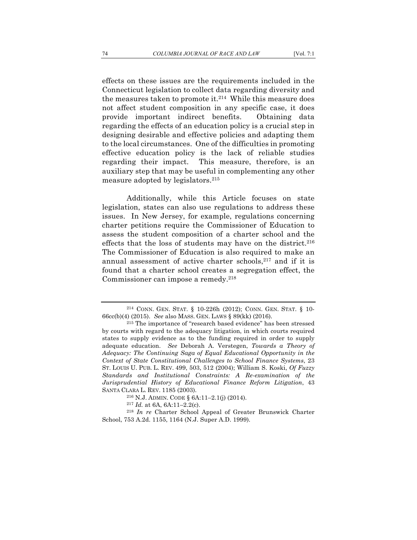effects on these issues are the requirements included in the Connecticut legislation to collect data regarding diversity and the measures taken to promote it.214 While this measure does not affect student composition in any specific case, it does provide important indirect benefits. Obtaining data regarding the effects of an education policy is a crucial step in designing desirable and effective policies and adapting them to the local circumstances. One of the difficulties in promoting effective education policy is the lack of reliable studies regarding their impact. This measure, therefore, is an auxiliary step that may be useful in complementing any other measure adopted by legislators.215

Additionally, while this Article focuses on state legislation, states can also use regulations to address these issues. In New Jersey, for example, regulations concerning charter petitions require the Commissioner of Education to assess the student composition of a charter school and the effects that the loss of students may have on the district.<sup>216</sup> The Commissioner of Education is also required to make an annual assessment of active charter schools, $217$  and if it is found that a charter school creates a segregation effect, the Commissioner can impose a remedy.218

<sup>214</sup> CONN. GEN. STAT. § 10-226h (2012); CONN. GEN. STAT. § 10- 66cc(b)(4) (2015). *See* also MASS. GEN. LAWS § 89(kk) (2016). 215 The importance of "research based evidence" has been stressed

by courts with regard to the adequacy litigation, in which courts required states to supply evidence as to the funding required in order to supply adequate education. *See* Deborah A. Verstegen, *Towards a Theory of Adequacy: The Continuing Saga of Equal Educational Opportunity in the Context of State Constitutional Challenges to School Finance Systems*, 23 ST. LOUIS U. PUB. L. REV. 499, 503, 512 (2004); William S. Koski, *Of Fuzzy Standards and Institutional Constraints: A Re-examination of the Jurisprudential History of Educational Finance Reform Litigation*, 43 SANTA CLARA L. REV. 1185 (2003).

<sup>216</sup> N.J. ADMIN. CODE § 6A:11–2.1(j) (2014).

<sup>217</sup> *Id.* at 6A, 6A:11–2.2(c). 218 *In re* Charter School Appeal of Greater Brunswick Charter School, 753 A.2d. 1155, 1164 (N.J. Super A.D. 1999).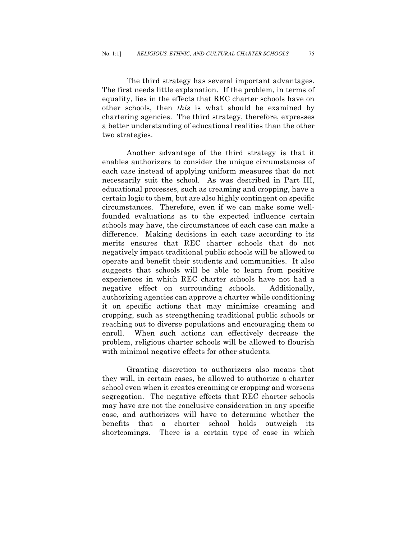The third strategy has several important advantages. The first needs little explanation. If the problem, in terms of equality, lies in the effects that REC charter schools have on other schools, then *this* is what should be examined by chartering agencies. The third strategy, therefore, expresses a better understanding of educational realities than the other two strategies.

Another advantage of the third strategy is that it enables authorizers to consider the unique circumstances of each case instead of applying uniform measures that do not necessarily suit the school. As was described in Part III, educational processes, such as creaming and cropping, have a certain logic to them, but are also highly contingent on specific circumstances. Therefore, even if we can make some wellfounded evaluations as to the expected influence certain schools may have, the circumstances of each case can make a difference. Making decisions in each case according to its merits ensures that REC charter schools that do not negatively impact traditional public schools will be allowed to operate and benefit their students and communities. It also suggests that schools will be able to learn from positive experiences in which REC charter schools have not had a negative effect on surrounding schools. Additionally, authorizing agencies can approve a charter while conditioning it on specific actions that may minimize creaming and cropping, such as strengthening traditional public schools or reaching out to diverse populations and encouraging them to enroll. When such actions can effectively decrease the problem, religious charter schools will be allowed to flourish with minimal negative effects for other students.

Granting discretion to authorizers also means that they will, in certain cases, be allowed to authorize a charter school even when it creates creaming or cropping and worsens segregation. The negative effects that REC charter schools may have are not the conclusive consideration in any specific case, and authorizers will have to determine whether the benefits that a charter school holds outweigh its shortcomings. There is a certain type of case in which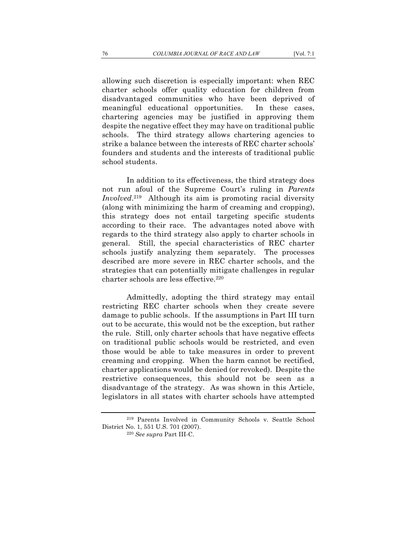allowing such discretion is especially important: when REC charter schools offer quality education for children from disadvantaged communities who have been deprived of meaningful educational opportunities. In these cases, chartering agencies may be justified in approving them despite the negative effect they may have on traditional public schools. The third strategy allows chartering agencies to strike a balance between the interests of REC charter schools' founders and students and the interests of traditional public school students.

In addition to its effectiveness, the third strategy does not run afoul of the Supreme Court's ruling in *Parents Involved*. 219 Although its aim is promoting racial diversity (along with minimizing the harm of creaming and cropping), this strategy does not entail targeting specific students according to their race. The advantages noted above with regards to the third strategy also apply to charter schools in general. Still, the special characteristics of REC charter schools justify analyzing them separately. The processes described are more severe in REC charter schools, and the strategies that can potentially mitigate challenges in regular charter schools are less effective.220

Admittedly, adopting the third strategy may entail restricting REC charter schools when they create severe damage to public schools. If the assumptions in Part III turn out to be accurate, this would not be the exception, but rather the rule. Still, only charter schools that have negative effects on traditional public schools would be restricted, and even those would be able to take measures in order to prevent creaming and cropping. When the harm cannot be rectified, charter applications would be denied (or revoked). Despite the restrictive consequences, this should not be seen as a disadvantage of the strategy. As was shown in this Article, legislators in all states with charter schools have attempted

<sup>219</sup> Parents Involved in Community Schools v. Seattle School District No. 1, 551 U.S. 701 (2007). 220 *See supra* Part III-C.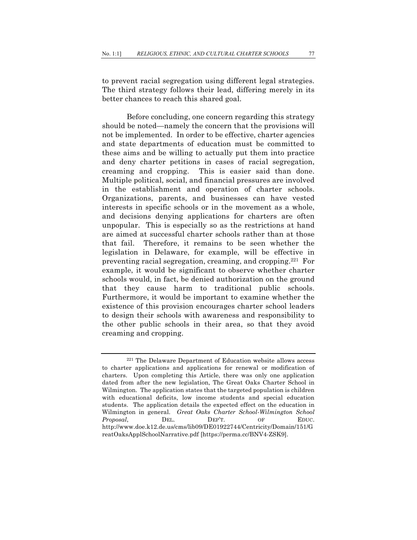to prevent racial segregation using different legal strategies. The third strategy follows their lead, differing merely in its better chances to reach this shared goal.

Before concluding, one concern regarding this strategy should be noted—namely the concern that the provisions will not be implemented. In order to be effective, charter agencies and state departments of education must be committed to these aims and be willing to actually put them into practice and deny charter petitions in cases of racial segregation, creaming and cropping. This is easier said than done. Multiple political, social, and financial pressures are involved in the establishment and operation of charter schools. Organizations, parents, and businesses can have vested interests in specific schools or in the movement as a whole, and decisions denying applications for charters are often unpopular. This is especially so as the restrictions at hand are aimed at successful charter schools rather than at those that fail. Therefore, it remains to be seen whether the legislation in Delaware, for example, will be effective in preventing racial segregation, creaming, and cropping.221 For example, it would be significant to observe whether charter schools would, in fact, be denied authorization on the ground that they cause harm to traditional public schools. Furthermore, it would be important to examine whether the existence of this provision encourages charter school leaders to design their schools with awareness and responsibility to the other public schools in their area, so that they avoid creaming and cropping.

<sup>221</sup> The Delaware Department of Education website allows access to charter applications and applications for renewal or modification of charters. Upon completing this Article, there was only one application dated from after the new legislation, The Great Oaks Charter School in Wilmington. The application states that the targeted population is children with educational deficits, low income students and special education students. The application details the expected effect on the education in Wilmington in general. *Great Oaks Charter School-Wilmington School Proposal*, DEL. DEP'T. OF EDUC. http://www.doe.k12.de.us/cms/lib09/DE01922744/Centricity/Domain/151/G reatOaksApplSchoolNarrative.pdf [https://perma.cc/BNV4-ZSK9].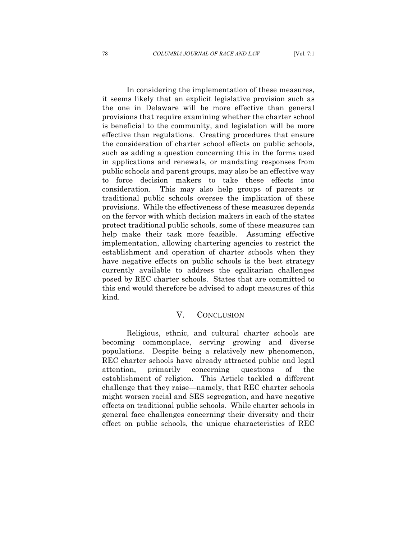In considering the implementation of these measures, it seems likely that an explicit legislative provision such as the one in Delaware will be more effective than general provisions that require examining whether the charter school is beneficial to the community, and legislation will be more effective than regulations. Creating procedures that ensure the consideration of charter school effects on public schools, such as adding a question concerning this in the forms used in applications and renewals, or mandating responses from public schools and parent groups, may also be an effective way to force decision makers to take these effects into consideration. This may also help groups of parents or traditional public schools oversee the implication of these provisions. While the effectiveness of these measures depends on the fervor with which decision makers in each of the states protect traditional public schools, some of these measures can help make their task more feasible. Assuming effective implementation, allowing chartering agencies to restrict the establishment and operation of charter schools when they have negative effects on public schools is the best strategy currently available to address the egalitarian challenges posed by REC charter schools. States that are committed to this end would therefore be advised to adopt measures of this kind.

## V. CONCLUSION

Religious, ethnic, and cultural charter schools are becoming commonplace, serving growing and diverse populations. Despite being a relatively new phenomenon, REC charter schools have already attracted public and legal attention, primarily concerning questions of the establishment of religion. This Article tackled a different challenge that they raise—namely, that REC charter schools might worsen racial and SES segregation, and have negative effects on traditional public schools. While charter schools in general face challenges concerning their diversity and their effect on public schools, the unique characteristics of REC